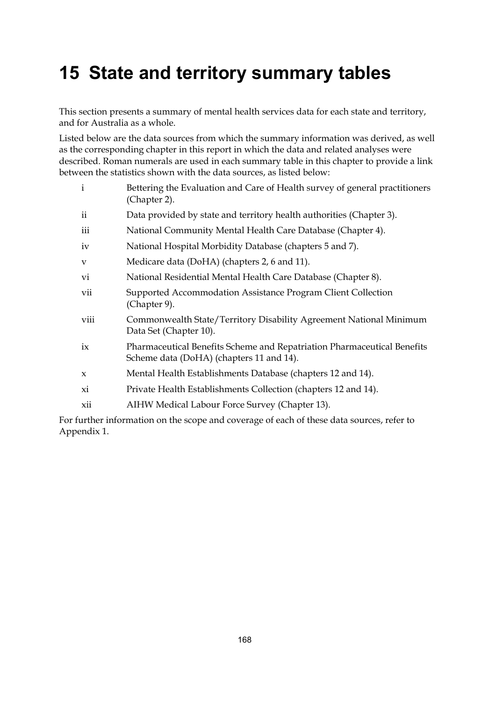# **15 State and territory summary tables**

This section presents a summary of mental health services data for each state and territory, and for Australia as a whole.

Listed below are the data sources from which the summary information was derived, as well as the corresponding chapter in this report in which the data and related analyses were described. Roman numerals are used in each summary table in this chapter to provide a link between the statistics shown with the data sources, as listed below:

| $\mathbf{i}$ | Bettering the Evaluation and Care of Health survey of general practitioners<br>(Chapter 2).                         |
|--------------|---------------------------------------------------------------------------------------------------------------------|
| ii           | Data provided by state and territory health authorities (Chapter 3).                                                |
| iii          | National Community Mental Health Care Database (Chapter 4).                                                         |
| iv           | National Hospital Morbidity Database (chapters 5 and 7).                                                            |
| V            | Medicare data (DoHA) (chapters 2, 6 and 11).                                                                        |
| vi           | National Residential Mental Health Care Database (Chapter 8).                                                       |
| vii          | Supported Accommodation Assistance Program Client Collection<br>(Chapter 9).                                        |
| viii         | Commonwealth State/Territory Disability Agreement National Minimum<br>Data Set (Chapter 10).                        |
| ix           | Pharmaceutical Benefits Scheme and Repatriation Pharmaceutical Benefits<br>Scheme data (DoHA) (chapters 11 and 14). |
| $\mathbf{x}$ | Mental Health Establishments Database (chapters 12 and 14).                                                         |
| xi           | Private Health Establishments Collection (chapters 12 and 14).                                                      |
| xii          | AIHW Medical Labour Force Survey (Chapter 13).                                                                      |
|              |                                                                                                                     |

For further information on the scope and coverage of each of these data sources, refer to Appendix 1.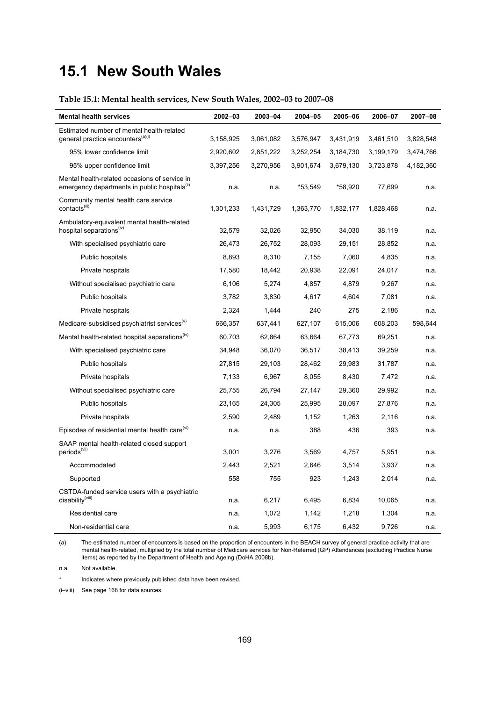# **15.1 New South Wales**

# **Table 15.1: Mental health services, New South Wales, 2002–03 to 2007–08**

| <b>Mental health services</b>                                                                              | 2002-03   | 2003-04   | 2004-05   | 2005-06   | 2006-07   | 2007-08   |
|------------------------------------------------------------------------------------------------------------|-----------|-----------|-----------|-----------|-----------|-----------|
| Estimated number of mental health-related                                                                  |           |           |           |           |           |           |
| general practice encounters <sup>(a)(i)</sup>                                                              | 3,158,925 | 3,061,082 | 3,576,947 | 3,431,919 | 3,461,510 | 3,828,548 |
| 95% lower confidence limit                                                                                 | 2,920,602 | 2,851,222 | 3,252,254 | 3,184,730 | 3,199,179 | 3,474,766 |
| 95% upper confidence limit                                                                                 | 3,397,256 | 3,270,956 | 3,901,674 | 3,679,130 | 3,723,878 | 4,182,360 |
| Mental health-related occasions of service in<br>emergency departments in public hospitals <sup>(ii)</sup> | n.a.      | n.a.      | *53,549   | *58,920   | 77,699    | n.a.      |
| Community mental health care service<br>contacts <sup>(iii)</sup>                                          | 1,301,233 | 1,431,729 | 1,363,770 | 1,832,177 | 1,828,468 | n.a.      |
| Ambulatory-equivalent mental health-related<br>hospital separations <sup>(v)</sup>                         | 32,579    | 32,026    | 32,950    | 34,030    | 38,119    | n.a.      |
| With specialised psychiatric care                                                                          | 26,473    | 26,752    | 28,093    | 29,151    | 28,852    | n.a.      |
| Public hospitals                                                                                           | 8,893     | 8,310     | 7,155     | 7,060     | 4,835     | n.a.      |
| Private hospitals                                                                                          | 17,580    | 18,442    | 20,938    | 22,091    | 24,017    | n.a.      |
| Without specialised psychiatric care                                                                       | 6,106     | 5,274     | 4,857     | 4,879     | 9,267     | n.a.      |
| Public hospitals                                                                                           | 3,782     | 3,830     | 4,617     | 4,604     | 7,081     | n.a.      |
| Private hospitals                                                                                          | 2,324     | 1,444     | 240       | 275       | 2,186     | n.a.      |
| Medicare-subsidised psychiatrist services <sup>(v)</sup>                                                   | 666,357   | 637,441   | 627,107   | 615,006   | 608,203   | 598,644   |
| Mental health-related hospital separations <sup>(iv)</sup>                                                 | 60,703    | 62,864    | 63,664    | 67,773    | 69,251    | n.a.      |
| With specialised psychiatric care                                                                          | 34,948    | 36,070    | 36,517    | 38,413    | 39,259    | n.a.      |
| Public hospitals                                                                                           | 27,815    | 29,103    | 28,462    | 29,983    | 31,787    | n.a.      |
| Private hospitals                                                                                          | 7,133     | 6,967     | 8,055     | 8,430     | 7,472     | n.a.      |
| Without specialised psychiatric care                                                                       | 25,755    | 26,794    | 27,147    | 29,360    | 29,992    | n.a.      |
| Public hospitals                                                                                           | 23,165    | 24,305    | 25,995    | 28,097    | 27,876    | n.a.      |
| Private hospitals                                                                                          | 2,590     | 2,489     | 1,152     | 1,263     | 2,116     | n.a.      |
| Episodes of residential mental health care <sup>(vi)</sup>                                                 | n.a.      | n.a.      | 388       | 436       | 393       | n.a.      |
| SAAP mental health-related closed support<br>periods <sup>(vii)</sup>                                      | 3,001     | 3,276     | 3,569     | 4,757     | 5,951     | n.a.      |
| Accommodated                                                                                               | 2,443     | 2,521     | 2,646     | 3,514     | 3,937     | n.a.      |
| Supported                                                                                                  | 558       | 755       | 923       | 1,243     | 2,014     | n.a.      |
| CSTDA-funded service users with a psychiatric<br>disability <sup>(viii)</sup>                              | n.a.      | 6,217     | 6,495     | 6,834     | 10,065    | n.a.      |
| Residential care                                                                                           | n.a.      | 1,072     | 1,142     | 1,218     | 1,304     | n.a.      |
| Non-residential care                                                                                       | n.a.      | 5,993     | 6,175     | 6,432     | 9,726     | n.a.      |

(a) The estimated number of encounters is based on the proportion of encounters in the BEACH survey of general practice activity that are mental health-related, multiplied by the total number of Medicare services for Non-Referred (GP) Attendances (excluding Practice Nurse items) as reported by the Department of Health and Ageing (DoHA 2008b).

n.a. Not available.

Indicates where previously published data have been revised.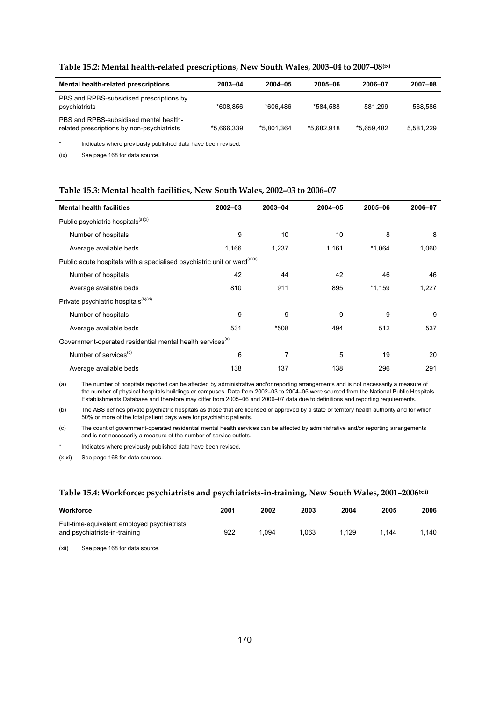| Mental health-related prescriptions                                                  | 2003-04    | 2004-05    | 2005-06    | 2006-07    | 2007-08   |
|--------------------------------------------------------------------------------------|------------|------------|------------|------------|-----------|
| PBS and RPBS-subsidised prescriptions by<br>psychiatrists                            | *608.856   | *606.486   | *584.588   | 581.299    | 568.586   |
| PBS and RPBS-subsidised mental health-<br>related prescriptions by non-psychiatrists | *5.666.339 | *5.801.364 | *5.682.918 | *5.659.482 | 5,581,229 |
|                                                                                      |            |            |            |            |           |

# **Table 15.2: Mental health-related prescriptions, New South Wales, 2003–04 to 2007–08(ix)**

\* Indicates where previously published data have been revised.

(ix) See page 168 for data source.

#### **Table 15.3: Mental health facilities, New South Wales, 2002–03 to 2006–07**

| <b>Mental health facilities</b>                                                      | $2002 - 03$ | 2003-04 | 2004-05 | 2005-06  | 2006-07 |
|--------------------------------------------------------------------------------------|-------------|---------|---------|----------|---------|
| Public psychiatric hospitals <sup>(a)(x)</sup>                                       |             |         |         |          |         |
| Number of hospitals                                                                  | 9           | 10      | 10      | 8        | 8       |
| Average available beds                                                               | 1,166       | 1,237   | 1,161   | $*1,064$ | 1,060   |
| Public acute hospitals with a specialised psychiatric unit or ward <sup>(a)(x)</sup> |             |         |         |          |         |
| Number of hospitals                                                                  | 42          | 44      | 42      | 46       | 46      |
| Average available beds                                                               | 810         | 911     | 895     | $*1,159$ | 1,227   |
| Private psychiatric hospitals <sup>(b)(xi)</sup>                                     |             |         |         |          |         |
| Number of hospitals                                                                  | 9           | 9       | 9       | 9        | 9       |
| Average available beds                                                               | 531         | *508    | 494     | 512      | 537     |
| Government-operated residential mental health services <sup>(x)</sup>                |             |         |         |          |         |
| Number of services <sup>(c)</sup>                                                    | 6           | 7       | 5       | 19       | 20      |
| Average available beds                                                               | 138         | 137     | 138     | 296      | 291     |

(a) The number of hospitals reported can be affected by administrative and/or reporting arrangements and is not necessarily a measure of the number of physical hospitals buildings or campuses. Data from 2002–03 to 2004–05 were sourced from the National Public Hospitals Establishments Database and therefore may differ from 2005–06 and 2006–07 data due to definitions and reporting requirements.

(b) The ABS defines private psychiatric hospitals as those that are licensed or approved by a state or territory health authority and for which 50% or more of the total patient days were for psychiatric patients.

(c) The count of government-operated residential mental health services can be affected by administrative and/or reporting arrangements and is not necessarily a measure of the number of service outlets.

Indicates where previously published data have been revised.

(x-xi) See page 168 for data sources.

### **Table 15.4: Workforce: psychiatrists and psychiatrists-in-training, New South Wales, 2001–2006(xii)**

| Workforce                                                                    | 2001 | 2002 | 2003 | 2004 | 2005  | 2006  |
|------------------------------------------------------------------------------|------|------|------|------|-------|-------|
| Full-time-equivalent employed psychiatrists<br>and psychiatrists-in-training | 922  | .094 | .063 | .129 | 1.144 | 1.140 |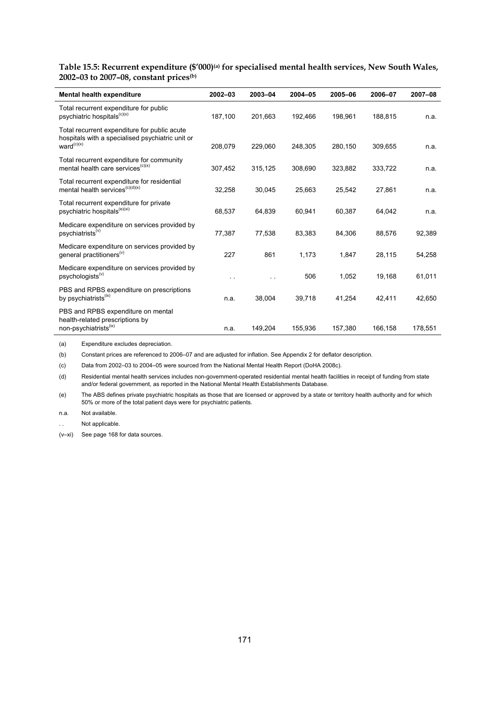**Table 15.5: Recurrent expenditure (\$'000)(a) for specialised mental health services, New South Wales, 2002–03 to 2007–08, constant prices(b)**

| Mental health expenditure                                                                                                  | $2002 - 03$ | 2003-04 | 2004-05 | 2005-06 | 2006-07 | 2007-08 |
|----------------------------------------------------------------------------------------------------------------------------|-------------|---------|---------|---------|---------|---------|
| Total recurrent expenditure for public<br>psychiatric hospitals <sup>(c)(x)</sup>                                          | 187,100     | 201,663 | 192,466 | 198,961 | 188,815 | n.a.    |
| Total recurrent expenditure for public acute<br>hospitals with a specialised psychiatric unit or<br>ward <sup>(c)(x)</sup> | 208,079     | 229,060 | 248,305 | 280,150 | 309.655 | n.a.    |
| Total recurrent expenditure for community<br>mental health care services <sup>(c)(x)</sup>                                 | 307,452     | 315,125 | 308,690 | 323,882 | 333,722 | n.a.    |
| Total recurrent expenditure for residential<br>mental health services <sup>(c)(d)(x)</sup>                                 | 32,258      | 30,045  | 25,663  | 25,542  | 27,861  | n.a.    |
| Total recurrent expenditure for private<br>psychiatric hospitals <sup>(e)(xi)</sup>                                        | 68,537      | 64,839  | 60,941  | 60,387  | 64,042  | n.a.    |
| Medicare expenditure on services provided by<br>psychiatrists <sup>(v)</sup>                                               | 77.387      | 77.538  | 83.383  | 84.306  | 88.576  | 92,389  |
| Medicare expenditure on services provided by<br>general practitioners <sup>(v)</sup>                                       | 227         | 861     | 1,173   | 1,847   | 28,115  | 54,258  |
| Medicare expenditure on services provided by<br>psychologists <sup>(v)</sup>                                               |             |         | 506     | 1,052   | 19,168  | 61,011  |
| PBS and RPBS expenditure on prescriptions<br>by psychiatrists <sup>(ix)</sup>                                              | n.a.        | 38,004  | 39,718  | 41,254  | 42,411  | 42,650  |
| PBS and RPBS expenditure on mental<br>health-related prescriptions by<br>non-psychiatrists <sup>(ix)</sup>                 | n.a.        | 149,204 | 155,936 | 157,380 | 166,158 | 178,551 |

(a) Expenditure excludes depreciation.

(b) Constant prices are referenced to 2006–07 and are adjusted for inflation. See Appendix 2 for deflator description.

(c) Data from 2002–03 to 2004–05 were sourced from the National Mental Health Report (DoHA 2008c).

(d) Residential mental health services includes non-government-operated residential mental health facilities in receipt of funding from state and/or federal government, as reported in the National Mental Health Establishments Database.

(e) The ABS defines private psychiatric hospitals as those that are licensed or approved by a state or territory health authority and for which 50% or more of the total patient days were for psychiatric patients.

n.a. Not available.

Not applicable.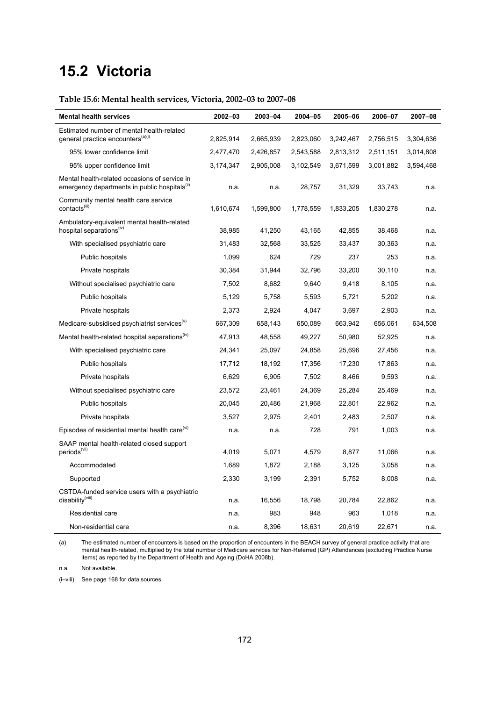# **15.2 Victoria**

# **Table 15.6: Mental health services, Victoria, 2002–03 to 2007–08**

| <b>Mental health services</b>                                                                              | 2002-03   | 2003-04   | 2004-05   | 2005-06   | 2006-07   | 2007-08   |
|------------------------------------------------------------------------------------------------------------|-----------|-----------|-----------|-----------|-----------|-----------|
| Estimated number of mental health-related                                                                  |           |           |           |           |           |           |
| general practice encounters <sup>(a)(i)</sup>                                                              | 2,825,914 | 2,665,939 | 2,823,060 | 3,242,467 | 2,756,515 | 3,304,636 |
| 95% lower confidence limit                                                                                 | 2,477,470 | 2,426,857 | 2,543,588 | 2,813,312 | 2,511,151 | 3,014,808 |
| 95% upper confidence limit                                                                                 | 3,174,347 | 2,905,008 | 3,102,549 | 3,671,599 | 3,001,882 | 3,594,468 |
| Mental health-related occasions of service in<br>emergency departments in public hospitals <sup>(ii)</sup> | n.a.      | n.a.      | 28,757    | 31,329    | 33,743    | n.a.      |
| Community mental health care service<br>contacts <sup>(iii)</sup>                                          | 1,610,674 | 1,599,800 | 1,778,559 | 1,833,205 | 1,830,278 | n.a.      |
| Ambulatory-equivalent mental health-related<br>hospital separations <sup>(iv)</sup>                        | 38,985    | 41,250    | 43,165    | 42,855    | 38,468    | n.a.      |
| With specialised psychiatric care                                                                          | 31,483    | 32,568    | 33,525    | 33,437    | 30,363    | n.a.      |
| Public hospitals                                                                                           | 1,099     | 624       | 729       | 237       | 253       | n.a.      |
| Private hospitals                                                                                          | 30,384    | 31,944    | 32,796    | 33,200    | 30,110    | n.a.      |
| Without specialised psychiatric care                                                                       | 7,502     | 8,682     | 9,640     | 9,418     | 8,105     | n.a.      |
| Public hospitals                                                                                           | 5,129     | 5,758     | 5,593     | 5,721     | 5,202     | n.a.      |
| Private hospitals                                                                                          | 2,373     | 2,924     | 4,047     | 3,697     | 2,903     | n.a.      |
| Medicare-subsidised psychiatrist services <sup>(v)</sup>                                                   | 667,309   | 658,143   | 650,089   | 663,942   | 656,061   | 634,508   |
| Mental health-related hospital separations <sup>(iv)</sup>                                                 | 47,913    | 48,558    | 49,227    | 50,980    | 52,925    | n.a.      |
| With specialised psychiatric care                                                                          | 24,341    | 25,097    | 24,858    | 25,696    | 27,456    | n.a.      |
| Public hospitals                                                                                           | 17,712    | 18,192    | 17,356    | 17,230    | 17,863    | n.a.      |
| Private hospitals                                                                                          | 6,629     | 6,905     | 7,502     | 8,466     | 9,593     | n.a.      |
| Without specialised psychiatric care                                                                       | 23,572    | 23,461    | 24,369    | 25,284    | 25,469    | n.a.      |
| Public hospitals                                                                                           | 20,045    | 20,486    | 21,968    | 22,801    | 22,962    | n.a.      |
| Private hospitals                                                                                          | 3,527     | 2,975     | 2,401     | 2,483     | 2,507     | n.a.      |
| Episodes of residential mental health care <sup>(vi)</sup>                                                 | n.a.      | n.a.      | 728       | 791       | 1,003     | n.a.      |
| SAAP mental health-related closed support                                                                  |           |           |           |           |           |           |
| periods <sup>(vii)</sup>                                                                                   | 4,019     | 5,071     | 4,579     | 8,877     | 11,066    | n.a.      |
| Accommodated                                                                                               | 1,689     | 1,872     | 2,188     | 3,125     | 3,058     | n.a.      |
| Supported                                                                                                  | 2,330     | 3,199     | 2,391     | 5,752     | 8,008     | n.a.      |
| CSTDA-funded service users with a psychiatric<br>disability <sup>(viii)</sup>                              | n.a.      | 16,556    | 18,798    | 20,784    | 22,862    | n.a.      |
| Residential care                                                                                           | n.a.      | 983       | 948       | 963       | 1,018     | n.a.      |
| Non-residential care                                                                                       | n.a.      | 8,396     | 18,631    | 20,619    | 22,671    | n.a.      |

(a) The estimated number of encounters is based on the proportion of encounters in the BEACH survey of general practice activity that are mental health-related, multiplied by the total number of Medicare services for Non-Referred (GP) Attendances (excluding Practice Nurse items) as reported by the Department of Health and Ageing (DoHA 2008b).

n.a. Not available.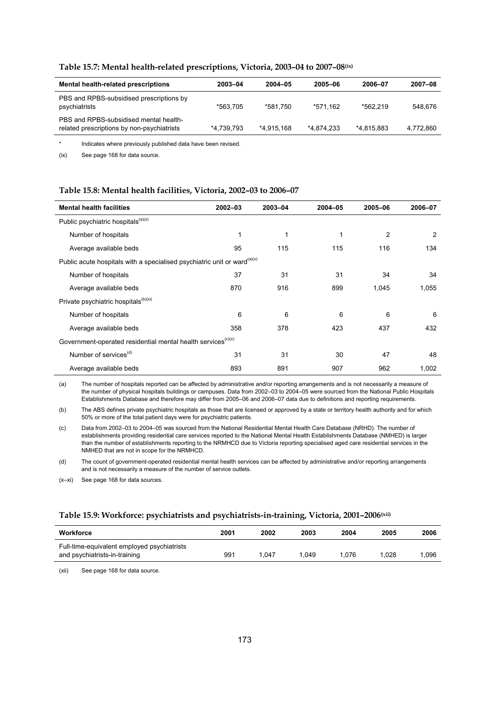| Mental health-related prescriptions                                                  | 2003-04    | 2004-05    | 2005-06    | 2006-07    | 2007-08   |
|--------------------------------------------------------------------------------------|------------|------------|------------|------------|-----------|
| PBS and RPBS-subsidised prescriptions by<br>psychiatrists                            | *563.705   | *581.750   | *571.162   | *562.219   | 548.676   |
| PBS and RPBS-subsidised mental health-<br>related prescriptions by non-psychiatrists | *4,739,793 | *4.915.168 | *4.874.233 | *4.815.883 | 4,772,860 |

#### **Table 15.7: Mental health-related prescriptions, Victoria, 2003–04 to 2007–08(ix)**

Indicates where previously published data have been revised.

(ix) See page 168 for data source.

#### **Table 15.8: Mental health facilities, Victoria, 2002–03 to 2006–07**

| <b>Mental health facilities</b>                                                      | $2002 - 03$ | 2003-04 | $2004 - 05$ | 2005-06 | 2006-07 |
|--------------------------------------------------------------------------------------|-------------|---------|-------------|---------|---------|
| Public psychiatric hospitals <sup>(a)(x)</sup>                                       |             |         |             |         |         |
| Number of hospitals                                                                  | 1           | 1       |             | 2       | 2       |
| Average available beds                                                               | 95          | 115     | 115         | 116     | 134     |
| Public acute hospitals with a specialised psychiatric unit or ward <sup>(a)(x)</sup> |             |         |             |         |         |
| Number of hospitals                                                                  | 37          | 31      | 31          | 34      | 34      |
| Average available beds                                                               | 870         | 916     | 899         | 1,045   | 1,055   |
| Private psychiatric hospitals <sup>(b)(xi)</sup>                                     |             |         |             |         |         |
| Number of hospitals                                                                  | 6           | 6       | 6           | 6       | 6       |
| Average available beds                                                               | 358         | 378     | 423         | 437     | 432     |
| Government-operated residential mental health services <sup>(c)(x)</sup>             |             |         |             |         |         |
| Number of services <sup>(d)</sup>                                                    | 31          | 31      | 30          | 47      | 48      |
| Average available beds                                                               | 893         | 891     | 907         | 962     | 1,002   |

(a) The number of hospitals reported can be affected by administrative and/or reporting arrangements and is not necessarily a measure of the number of physical hospitals buildings or campuses. Data from 2002–03 to 2004–05 were sourced from the National Public Hospitals Establishments Database and therefore may differ from 2005–06 and 2006–07 data due to definitions and reporting requirements.

(b) The ABS defines private psychiatric hospitals as those that are licensed or approved by a state or territory health authority and for which 50% or more of the total patient days were for psychiatric patients.

(c) Data from 2002–03 to 2004–05 was sourced from the National Residential Mental Health Care Database (NRHD). The number of establishments providing residential care services reported to the National Mental Health Establishments Database (NMHED) is larger than the number of establishments reporting to the NRMHCD due to Victoria reporting specialised aged care residential services in the NMHED that are not in scope for the NRMHCD.

(d) The count of government-operated residential mental health services can be affected by administrative and/or reporting arrangements and is not necessarily a measure of the number of service outlets.

(x–xi) See page 168 for data sources.

#### **Table 15.9: Workforce: psychiatrists and psychiatrists-in-training, Victoria, 2001–2006(xii)**

| Workforce                                                                    | 2001 | 2002  | 2003 | 2004  | 2005 | 2006 |
|------------------------------------------------------------------------------|------|-------|------|-------|------|------|
| Full-time-equivalent employed psychiatrists<br>and psychiatrists-in-training | 991  | 047.ا | .049 | 1.076 | .028 | .096 |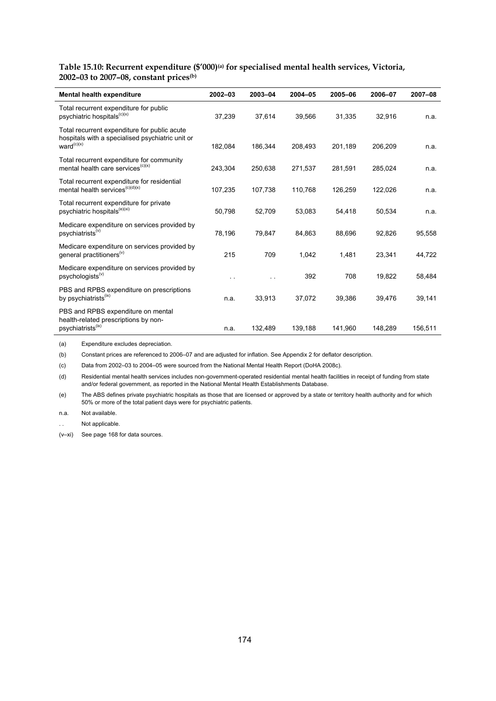# **Table 15.10: Recurrent expenditure (\$'000)(a) for specialised mental health services, Victoria, 2002–03 to 2007–08, constant prices(b)**

| Mental health expenditure                                                                                                  | $2002 - 03$ | 2003-04 | 2004-05 | 2005-06 | 2006-07 | 2007-08 |
|----------------------------------------------------------------------------------------------------------------------------|-------------|---------|---------|---------|---------|---------|
| Total recurrent expenditure for public<br>psychiatric hospitals <sup>(c)(x)</sup>                                          | 37,239      | 37,614  | 39,566  | 31,335  | 32,916  | n.a.    |
| Total recurrent expenditure for public acute<br>hospitals with a specialised psychiatric unit or<br>ward <sup>(c)(x)</sup> | 182.084     | 186.344 | 208.493 | 201,189 | 206.209 | n.a.    |
| Total recurrent expenditure for community<br>mental health care services <sup>(c)(x)</sup>                                 | 243,304     | 250,638 | 271,537 | 281,591 | 285,024 | n.a.    |
| Total recurrent expenditure for residential<br>mental health services <sup>(c)(d)(x)</sup>                                 | 107,235     | 107,738 | 110,768 | 126,259 | 122,026 | n.a.    |
| Total recurrent expenditure for private<br>psychiatric hospitals <sup>(e)(xi)</sup>                                        | 50,798      | 52,709  | 53,083  | 54,418  | 50,534  | n.a.    |
| Medicare expenditure on services provided by<br>psychiatrists <sup>(v)</sup>                                               | 78,196      | 79,847  | 84,863  | 88,696  | 92,826  | 95,558  |
| Medicare expenditure on services provided by<br>general practitioners <sup>(v)</sup>                                       | 215         | 709     | 1,042   | 1,481   | 23,341  | 44,722  |
| Medicare expenditure on services provided by<br>psychologists <sup>(v)</sup>                                               | . .         |         | 392     | 708     | 19,822  | 58,484  |
| PBS and RPBS expenditure on prescriptions<br>by psychiatrists <sup>(ix)</sup>                                              | n.a.        | 33,913  | 37,072  | 39,386  | 39.476  | 39,141  |
| PBS and RPBS expenditure on mental<br>health-related prescriptions by non-<br>psychiatrists <sup>(ix)</sup>                | n.a.        | 132,489 | 139,188 | 141,960 | 148,289 | 156,511 |

(a) Expenditure excludes depreciation.

(b) Constant prices are referenced to 2006–07 and are adjusted for inflation. See Appendix 2 for deflator description.

(c) Data from 2002–03 to 2004–05 were sourced from the National Mental Health Report (DoHA 2008c).

(d) Residential mental health services includes non-government-operated residential mental health facilities in receipt of funding from state and/or federal government, as reported in the National Mental Health Establishments Database.

(e) The ABS defines private psychiatric hospitals as those that are licensed or approved by a state or territory health authority and for which 50% or more of the total patient days were for psychiatric patients.

n.a. Not available.

Not applicable.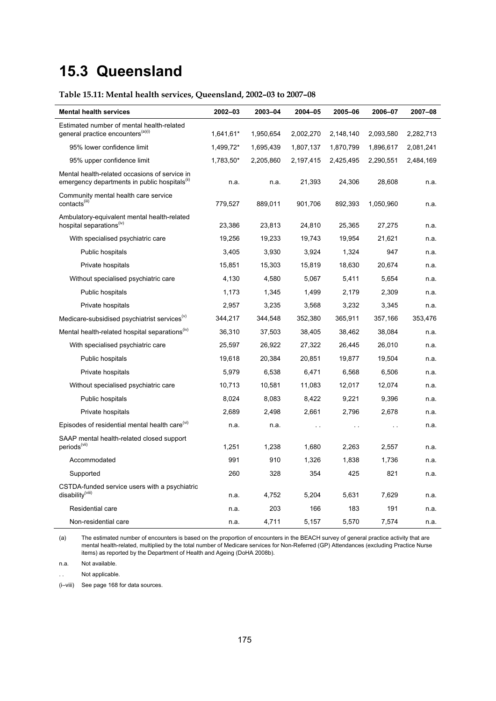# **15.3 Queensland**

# **Table 15.11: Mental health services, Queensland, 2002–03 to 2007–08**

| <b>Mental health services</b>                                                                              | 2002-03   | 2003-04   | 2004-05   | 2005-06       | 2006-07       | 2007-08   |
|------------------------------------------------------------------------------------------------------------|-----------|-----------|-----------|---------------|---------------|-----------|
| Estimated number of mental health-related                                                                  |           |           |           |               |               |           |
| general practice encounters <sup>(a)(i)</sup>                                                              | 1,641,61* | 1,950,654 | 2,002,270 | 2,148,140     | 2,093,580     | 2,282,713 |
| 95% lower confidence limit                                                                                 | 1,499,72* | 1,695,439 | 1,807,137 | 1,870,799     | 1,896,617     | 2,081,241 |
| 95% upper confidence limit                                                                                 | 1,783,50* | 2,205,860 | 2,197,415 | 2,425,495     | 2,290,551     | 2,484,169 |
| Mental health-related occasions of service in<br>emergency departments in public hospitals <sup>(ii)</sup> | n.a.      | n.a.      | 21,393    | 24,306        | 28,608        | n.a.      |
| Community mental health care service<br>contacts <sup>(iii)</sup>                                          | 779,527   | 889,011   | 901,706   | 892,393       | 1,050,960     | n.a.      |
| Ambulatory-equivalent mental health-related<br>hospital separations <sup>(iv)</sup>                        | 23,386    | 23,813    | 24,810    | 25,365        | 27,275        | n.a.      |
| With specialised psychiatric care                                                                          | 19,256    | 19,233    | 19,743    | 19,954        | 21,621        | n.a.      |
| Public hospitals                                                                                           | 3,405     | 3,930     | 3,924     | 1,324         | 947           | n.a.      |
| Private hospitals                                                                                          | 15,851    | 15,303    | 15,819    | 18,630        | 20,674        | n.a.      |
| Without specialised psychiatric care                                                                       | 4,130     | 4,580     | 5,067     | 5,411         | 5,654         | n.a.      |
| Public hospitals                                                                                           | 1,173     | 1,345     | 1,499     | 2,179         | 2,309         | n.a.      |
| Private hospitals                                                                                          | 2,957     | 3,235     | 3,568     | 3,232         | 3,345         | n.a.      |
| Medicare-subsidised psychiatrist services <sup>(v)</sup>                                                   | 344,217   | 344,548   | 352,380   | 365,911       | 357,166       | 353,476   |
| Mental health-related hospital separations <sup>(iv)</sup>                                                 | 36,310    | 37,503    | 38,405    | 38,462        | 38,084        | n.a.      |
| With specialised psychiatric care                                                                          | 25,597    | 26,922    | 27,322    | 26,445        | 26,010        | n.a.      |
| Public hospitals                                                                                           | 19,618    | 20,384    | 20,851    | 19,877        | 19,504        | n.a.      |
| Private hospitals                                                                                          | 5,979     | 6,538     | 6,471     | 6,568         | 6,506         | n.a.      |
| Without specialised psychiatric care                                                                       | 10,713    | 10,581    | 11,083    | 12,017        | 12,074        | n.a.      |
| Public hospitals                                                                                           | 8,024     | 8,083     | 8,422     | 9,221         | 9,396         | n.a.      |
| Private hospitals                                                                                          | 2,689     | 2,498     | 2,661     | 2,796         | 2,678         | n.a.      |
| Episodes of residential mental health care <sup>(vi)</sup>                                                 | n.a.      | n.a.      | $\sim$    | $\sim$ $\sim$ | $\sim$ $\sim$ | n.a.      |
| SAAP mental health-related closed support<br>periods <sup>(vii)</sup>                                      | 1,251     | 1,238     | 1,680     | 2,263         | 2,557         | n.a.      |
| Accommodated                                                                                               | 991       | 910       | 1,326     | 1,838         | 1,736         | n.a.      |
| Supported                                                                                                  | 260       | 328       | 354       | 425           | 821           | n.a.      |
| CSTDA-funded service users with a psychiatric<br>disability <sup>(viii)</sup>                              | n.a.      | 4,752     | 5,204     | 5,631         | 7,629         | n.a.      |
| <b>Residential care</b>                                                                                    | n.a.      | 203       | 166       | 183           | 191           | n.a.      |
| Non-residential care                                                                                       | n.a.      | 4,711     | 5,157     | 5,570         | 7,574         | n.a.      |

(a) The estimated number of encounters is based on the proportion of encounters in the BEACH survey of general practice activity that are mental health-related, multiplied by the total number of Medicare services for Non-Referred (GP) Attendances (excluding Practice Nurse items) as reported by the Department of Health and Ageing (DoHA 2008b).

n.a. Not available.

Not applicable.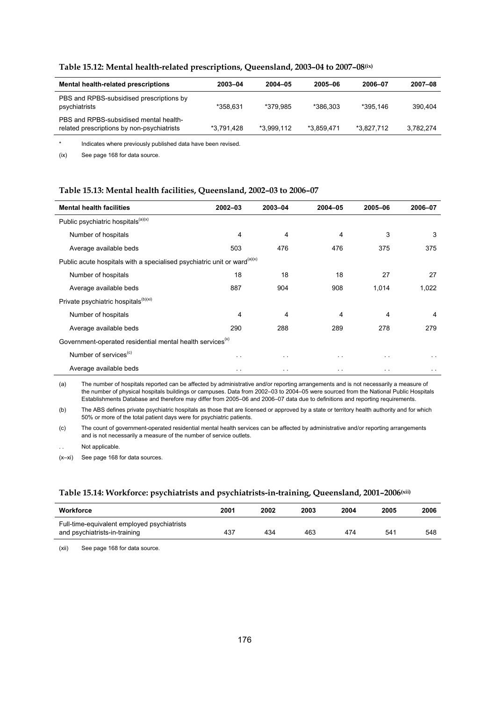| <b>Mental health-related prescriptions</b>                                           | 2003-04    | 2004-05    | 2005-06    | 2006-07    | 2007-08   |
|--------------------------------------------------------------------------------------|------------|------------|------------|------------|-----------|
| PBS and RPBS-subsidised prescriptions by<br>psychiatrists                            | *358.631   | *379.985   | *386.303   | *395.146   | 390.404   |
| PBS and RPBS-subsidised mental health-<br>related prescriptions by non-psychiatrists | *3.791.428 | *3.999.112 | *3.859.471 | *3.827.712 | 3.782.274 |
|                                                                                      |            |            |            |            |           |

### **Table 15.12: Mental health-related prescriptions, Queensland, 2003–04 to 2007–08(ix)**

\* Indicates where previously published data have been revised.

(ix) See page 168 for data source.

#### **Table 15.13: Mental health facilities, Queensland, 2002–03 to 2006–07**

| <b>Mental health facilities</b>                                                      | $2002 - 03$          | 2003-04              | 2004-05       | 2005-06              | 2006-07       |
|--------------------------------------------------------------------------------------|----------------------|----------------------|---------------|----------------------|---------------|
| Public psychiatric hospitals <sup>(a)(x)</sup>                                       |                      |                      |               |                      |               |
| Number of hospitals                                                                  | 4                    | 4                    | 4             | 3                    | 3             |
| Average available beds                                                               | 503                  | 476                  | 476           | 375                  | 375           |
| Public acute hospitals with a specialised psychiatric unit or ward <sup>(a)(x)</sup> |                      |                      |               |                      |               |
| Number of hospitals                                                                  | 18                   | 18                   | 18            | 27                   | 27            |
| Average available beds                                                               | 887                  | 904                  | 908           | 1,014                | 1,022         |
| Private psychiatric hospitals <sup>(b)(xi)</sup>                                     |                      |                      |               |                      |               |
| Number of hospitals                                                                  | 4                    | 4                    | 4             | 4                    | 4             |
| Average available beds                                                               | 290                  | 288                  | 289           | 278                  | 279           |
| Government-operated residential mental health services <sup>(x)</sup>                |                      |                      |               |                      |               |
| Number of services <sup>(c)</sup>                                                    | $\ddot{\phantom{1}}$ | $\sim$ $\sim$        | $\sim$ $\sim$ | $\sim$ $\sim$        | $\sim$ $\sim$ |
| Average available beds                                                               | . .                  | $\ddot{\phantom{1}}$ | $\cdot$ .     | $\ddot{\phantom{1}}$ | $\sim$ $\sim$ |

(a) The number of hospitals reported can be affected by administrative and/or reporting arrangements and is not necessarily a measure of the number of physical hospitals buildings or campuses. Data from 2002–03 to 2004–05 were sourced from the National Public Hospitals Establishments Database and therefore may differ from 2005–06 and 2006–07 data due to definitions and reporting requirements.

(b) The ABS defines private psychiatric hospitals as those that are licensed or approved by a state or territory health authority and for which 50% or more of the total patient days were for psychiatric patients.

(c) The count of government-operated residential mental health services can be affected by administrative and/or reporting arrangements and is not necessarily a measure of the number of service outlets.

Not applicable.

(x–xi) See page 168 for data sources.

### **Table 15.14: Workforce: psychiatrists and psychiatrists-in-training, Queensland, 2001–2006(xii)**

| Workforce                                                                    | 2001 | 2002 | 2003 | 2004 | 2005 | 2006 |
|------------------------------------------------------------------------------|------|------|------|------|------|------|
| Full-time-equivalent employed psychiatrists<br>and psychiatrists-in-training | 437  | 434  | 463  | 474  | 541  | 548  |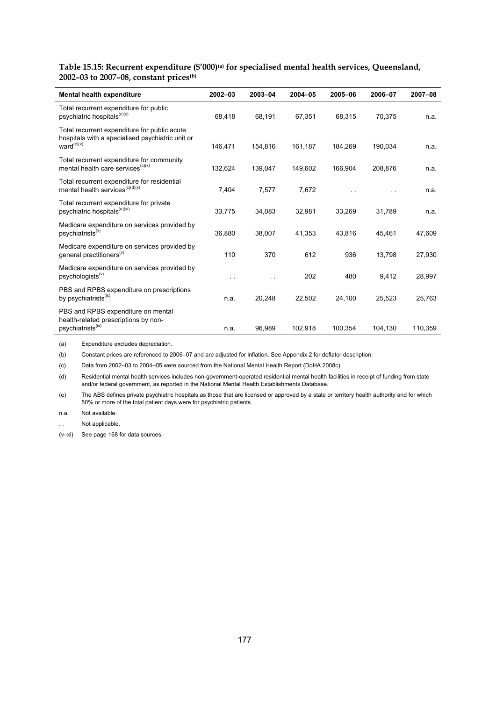**Table 15.15: Recurrent expenditure (\$'000)(a) for specialised mental health services, Queensland, 2002–03 to 2007–08, constant prices(b)**

| Mental health expenditure                                                                                                  | $2002 - 03$ | 2003-04 | $2004 - 05$ | 2005-06 | 2006-07 | 2007-08 |
|----------------------------------------------------------------------------------------------------------------------------|-------------|---------|-------------|---------|---------|---------|
| Total recurrent expenditure for public<br>psychiatric hospitals <sup>(c)(x)</sup>                                          | 68.418      | 68,191  | 67,351      | 68,315  | 70,375  | n.a.    |
| Total recurrent expenditure for public acute<br>hospitals with a specialised psychiatric unit or<br>ward <sup>(c)(x)</sup> | 146,471     | 154,816 | 161,187     | 184,269 | 190,034 | n.a.    |
| Total recurrent expenditure for community<br>mental health care services <sup>(c)(x)</sup>                                 | 132,624     | 139,047 | 149.602     | 166.904 | 208.876 | n.a.    |
| Total recurrent expenditure for residential<br>mental health services <sup>(c)(d)(x)</sup>                                 | 7,404       | 7,577   | 7.672       |         |         | n.a.    |
| Total recurrent expenditure for private<br>psychiatric hospitals <sup>(e)(xi)</sup>                                        | 33,775      | 34,083  | 32,981      | 33,269  | 31,789  | n.a.    |
| Medicare expenditure on services provided by<br>psychiatrists <sup>(v)</sup>                                               | 36.880      | 38,007  | 41,353      | 43,816  | 45,461  | 47,609  |
| Medicare expenditure on services provided by<br>general practitioners <sup>(v)</sup>                                       | 110         | 370     | 612         | 936     | 13,798  | 27,930  |
| Medicare expenditure on services provided by<br>psychologists <sup>(v)</sup>                                               |             |         | 202         | 480     | 9,412   | 28,997  |
| PBS and RPBS expenditure on prescriptions<br>by psychiatrists <sup>(ix)</sup>                                              | n.a.        | 20,248  | 22,502      | 24,100  | 25,523  | 25,763  |
| PBS and RPBS expenditure on mental<br>health-related prescriptions by non-<br>psychiatrists <sup>(ix)</sup>                | n.a.        | 96,989  | 102,918     | 100,354 | 104,130 | 110,359 |

(a) Expenditure excludes depreciation.

(b) Constant prices are referenced to 2006–07 and are adjusted for inflation. See Appendix 2 for deflator description.

(c) Data from 2002–03 to 2004–05 were sourced from the National Mental Health Report (DoHA 2008c).

(d) Residential mental health services includes non-government-operated residential mental health facilities in receipt of funding from state and/or federal government, as reported in the National Mental Health Establishments Database.

(e) The ABS defines private psychiatric hospitals as those that are licensed or approved by a state or territory health authority and for which 50% or more of the total patient days were for psychiatric patients.

n.a. Not available.

Not applicable.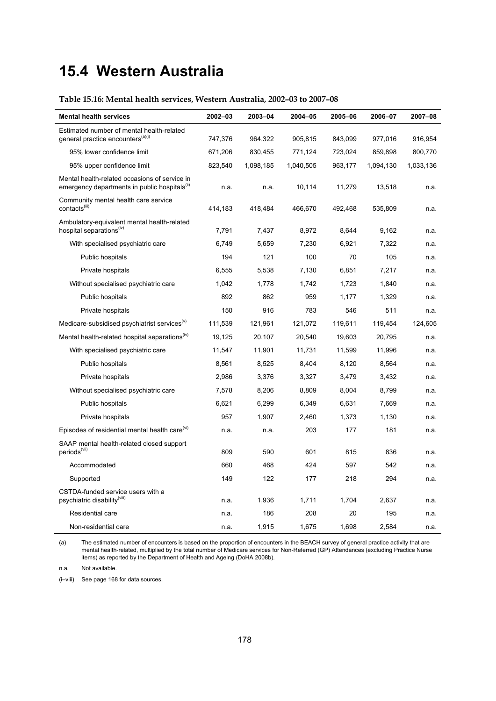# **15.4 Western Australia**

# **Table 15.16: Mental health services, Western Australia, 2002–03 to 2007–08**

| <b>Mental health services</b>                                                                              | 2002-03 | 2003-04   | 2004-05   | 2005-06 | 2006-07   | 2007-08   |
|------------------------------------------------------------------------------------------------------------|---------|-----------|-----------|---------|-----------|-----------|
| Estimated number of mental health-related                                                                  |         |           |           |         |           |           |
| general practice encounters <sup>(a)(i)</sup>                                                              | 747,376 | 964,322   | 905,815   | 843,099 | 977,016   | 916,954   |
| 95% lower confidence limit                                                                                 | 671,206 | 830,455   | 771,124   | 723,024 | 859,898   | 800,770   |
| 95% upper confidence limit                                                                                 | 823,540 | 1,098,185 | 1,040,505 | 963,177 | 1,094,130 | 1,033,136 |
| Mental health-related occasions of service in<br>emergency departments in public hospitals <sup>(ii)</sup> | n.a.    | n.a.      | 10,114    | 11,279  | 13,518    | n.a.      |
| Community mental health care service<br>contacts <sup>(iii)</sup>                                          | 414,183 | 418,484   | 466,670   | 492,468 | 535,809   | n.a.      |
| Ambulatory-equivalent mental health-related<br>hospital separations <sup>(iv)</sup>                        | 7,791   | 7,437     | 8,972     | 8,644   | 9,162     | n.a.      |
| With specialised psychiatric care                                                                          | 6,749   | 5,659     | 7,230     | 6,921   | 7,322     | n.a.      |
| Public hospitals                                                                                           | 194     | 121       | 100       | 70      | 105       | n.a.      |
| Private hospitals                                                                                          | 6,555   | 5,538     | 7,130     | 6,851   | 7,217     | n.a.      |
| Without specialised psychiatric care                                                                       | 1,042   | 1,778     | 1,742     | 1,723   | 1,840     | n.a.      |
| Public hospitals                                                                                           | 892     | 862       | 959       | 1,177   | 1,329     | n.a.      |
| Private hospitals                                                                                          | 150     | 916       | 783       | 546     | 511       | n.a.      |
| Medicare-subsidised psychiatrist services <sup>(v)</sup>                                                   | 111,539 | 121,961   | 121,072   | 119,611 | 119,454   | 124,605   |
| Mental health-related hospital separations <sup>(iv)</sup>                                                 | 19,125  | 20,107    | 20,540    | 19,603  | 20,795    | n.a.      |
| With specialised psychiatric care                                                                          | 11,547  | 11,901    | 11,731    | 11,599  | 11,996    | n.a.      |
| Public hospitals                                                                                           | 8,561   | 8,525     | 8,404     | 8,120   | 8,564     | n.a.      |
| Private hospitals                                                                                          | 2,986   | 3,376     | 3,327     | 3,479   | 3,432     | n.a.      |
| Without specialised psychiatric care                                                                       | 7,578   | 8,206     | 8,809     | 8,004   | 8,799     | n.a.      |
| Public hospitals                                                                                           | 6,621   | 6,299     | 6,349     | 6,631   | 7,669     | n.a.      |
| Private hospitals                                                                                          | 957     | 1,907     | 2,460     | 1,373   | 1,130     | n.a.      |
| Episodes of residential mental health care <sup>(vi)</sup>                                                 | n.a.    | n.a.      | 203       | 177     | 181       | n.a.      |
| SAAP mental health-related closed support<br>periods <sup>(vii)</sup>                                      | 809     | 590       | 601       | 815     | 836       | n.a.      |
| Accommodated                                                                                               | 660     | 468       | 424       | 597     | 542       | n.a.      |
| Supported                                                                                                  | 149     | 122       | 177       | 218     | 294       | n.a.      |
| CSTDA-funded service users with a<br>psychiatric disability <sup>(viii)</sup>                              | n.a.    | 1,936     | 1,711     | 1,704   | 2,637     | n.a.      |
| Residential care                                                                                           | n.a.    | 186       | 208       | 20      | 195       | n.a.      |
| Non-residential care                                                                                       | n.a.    | 1,915     | 1,675     | 1,698   | 2,584     | n.a.      |

(a) The estimated number of encounters is based on the proportion of encounters in the BEACH survey of general practice activity that are mental health-related, multiplied by the total number of Medicare services for Non-Referred (GP) Attendances (excluding Practice Nurse items) as reported by the Department of Health and Ageing (DoHA 2008b).

n.a. Not available.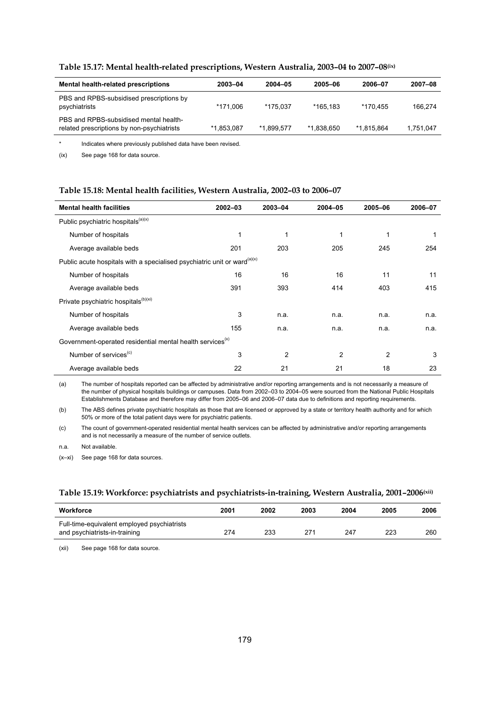| Mental health-related prescriptions                                                  | 2003-04    | 2004-05    | 2005-06    | 2006-07    | 2007-08   |
|--------------------------------------------------------------------------------------|------------|------------|------------|------------|-----------|
| PBS and RPBS-subsidised prescriptions by<br>psychiatrists                            | *171.006   | *175.037   | *165.183   | *170.455   | 166.274   |
| PBS and RPBS-subsidised mental health-<br>related prescriptions by non-psychiatrists | *1.853.087 | *1.899.577 | *1.838.650 | *1.815.864 | 1.751.047 |
|                                                                                      |            |            |            |            |           |

### **Table 15.17: Mental health-related prescriptions, Western Australia, 2003–04 to 2007–08(ix)**

\* Indicates where previously published data have been revised.

(ix) See page 168 for data source.

#### **Table 15.18: Mental health facilities, Western Australia, 2002–03 to 2006–07**

| <b>Mental health facilities</b>                                                      | $2002 - 03$ | 2003-04        | 2004-05        | 2005-06        | 2006-07 |
|--------------------------------------------------------------------------------------|-------------|----------------|----------------|----------------|---------|
| Public psychiatric hospitals <sup>(a)(x)</sup>                                       |             |                |                |                |         |
| Number of hospitals                                                                  | 1           | 1              | 1              | 1              | 1       |
| Average available beds                                                               | 201         | 203            | 205            | 245            | 254     |
| Public acute hospitals with a specialised psychiatric unit or ward <sup>(a)(x)</sup> |             |                |                |                |         |
| Number of hospitals                                                                  | 16          | 16             | 16             | 11             | 11      |
| Average available beds                                                               | 391         | 393            | 414            | 403            | 415     |
| Private psychiatric hospitals <sup>(b)(xi)</sup>                                     |             |                |                |                |         |
| Number of hospitals                                                                  | 3           | n.a.           | n.a.           | n.a.           | n.a.    |
| Average available beds                                                               | 155         | n.a.           | n.a.           | n.a.           | n.a.    |
| Government-operated residential mental health services <sup>(x)</sup>                |             |                |                |                |         |
| Number of services <sup>(c)</sup>                                                    | 3           | $\overline{c}$ | $\overline{2}$ | $\overline{2}$ | 3       |
| Average available beds                                                               | 22          | 21             | 21             | 18             | 23      |

(a) The number of hospitals reported can be affected by administrative and/or reporting arrangements and is not necessarily a measure of the number of physical hospitals buildings or campuses. Data from 2002–03 to 2004–05 were sourced from the National Public Hospitals Establishments Database and therefore may differ from 2005–06 and 2006–07 data due to definitions and reporting requirements.

(b) The ABS defines private psychiatric hospitals as those that are licensed or approved by a state or territory health authority and for which 50% or more of the total patient days were for psychiatric patients.

(c) The count of government-operated residential mental health services can be affected by administrative and/or reporting arrangements and is not necessarily a measure of the number of service outlets.

n.a. Not available.

(x–xi) See page 168 for data sources.

### **Table 15.19: Workforce: psychiatrists and psychiatrists-in-training, Western Australia, 2001–2006(xii)**

| Workforce                                                                    | 2001 | 2002 | 2003 | 2004 | 2005 | 2006 |
|------------------------------------------------------------------------------|------|------|------|------|------|------|
| Full-time-equivalent employed psychiatrists<br>and psychiatrists-in-training | 274  | 233  | 271  | 247  | 223  | 260  |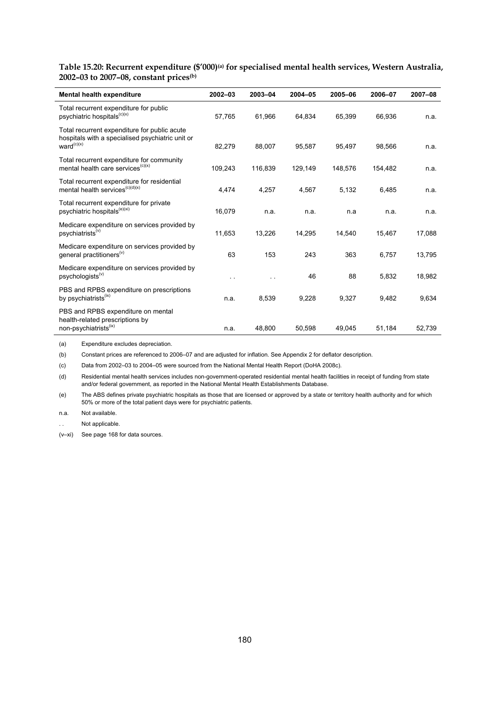Table 15.20: Recurrent expenditure (\$'000)<sup>(a)</sup> for specialised mental health services, Western Australia, **2002–03 to 2007–08, constant prices(b)**

| Mental health expenditure                                                                                                  | $2002 - 03$ | 2003-04 | 2004-05 | 2005-06 | 2006-07 | 2007-08 |
|----------------------------------------------------------------------------------------------------------------------------|-------------|---------|---------|---------|---------|---------|
| Total recurrent expenditure for public<br>psychiatric hospitals <sup>(c)(x)</sup>                                          | 57,765      | 61,966  | 64,834  | 65,399  | 66,936  | n.a.    |
| Total recurrent expenditure for public acute<br>hospitals with a specialised psychiatric unit or<br>ward <sup>(c)(x)</sup> | 82,279      | 88.007  | 95,587  | 95,497  | 98.566  | n.a.    |
| Total recurrent expenditure for community<br>mental health care services <sup>(c)(x)</sup>                                 | 109,243     | 116,839 | 129,149 | 148,576 | 154,482 | n.a.    |
| Total recurrent expenditure for residential<br>mental health services <sup>(c)(d)(x)</sup>                                 | 4,474       | 4,257   | 4,567   | 5,132   | 6,485   | n.a.    |
| Total recurrent expenditure for private<br>psychiatric hospitals <sup>(e)(xi)</sup>                                        | 16,079      | n.a.    | n.a.    | n.a     | n.a.    | n.a.    |
| Medicare expenditure on services provided by<br>psychiatrists <sup>(v)</sup>                                               | 11,653      | 13,226  | 14,295  | 14,540  | 15,467  | 17,088  |
| Medicare expenditure on services provided by<br>general practitioners <sup>(v)</sup>                                       | 63          | 153     | 243     | 363     | 6,757   | 13,795  |
| Medicare expenditure on services provided by<br>psychologists <sup>(v)</sup>                                               | . .         |         | 46      | 88      | 5,832   | 18,982  |
| PBS and RPBS expenditure on prescriptions<br>by psychiatrists <sup>(IX)</sup>                                              | n.a.        | 8,539   | 9,228   | 9,327   | 9,482   | 9,634   |
| PBS and RPBS expenditure on mental<br>health-related prescriptions by<br>non-psychiatrists <sup>(ix)</sup>                 | n.a.        | 48,800  | 50,598  | 49,045  | 51,184  | 52,739  |

(a) Expenditure excludes depreciation.

(b) Constant prices are referenced to 2006–07 and are adjusted for inflation. See Appendix 2 for deflator description.

(c) Data from 2002–03 to 2004–05 were sourced from the National Mental Health Report (DoHA 2008c).

(d) Residential mental health services includes non-government-operated residential mental health facilities in receipt of funding from state and/or federal government, as reported in the National Mental Health Establishments Database.

(e) The ABS defines private psychiatric hospitals as those that are licensed or approved by a state or territory health authority and for which 50% or more of the total patient days were for psychiatric patients.

n.a. Not available.

Not applicable.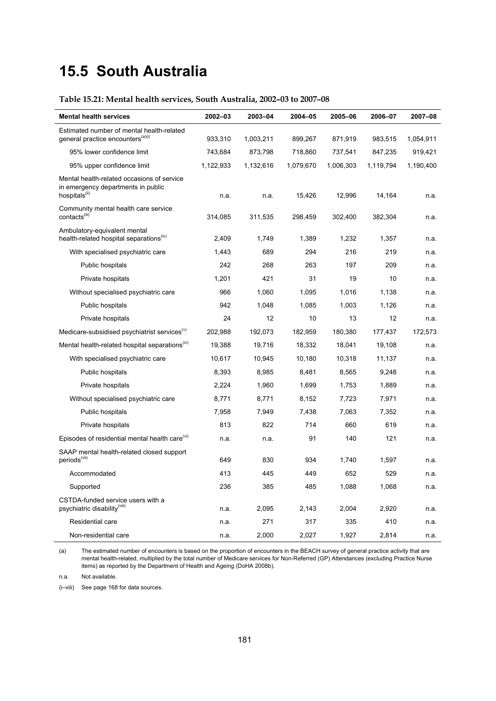# **15.5 South Australia**

# **Table 15.21: Mental health services, South Australia, 2002–03 to 2007–08**

| <b>Mental health services</b>                                                                                 | 2002-03   | 2003-04   | 2004-05   | 2005-06   | 2006-07   | 2007-08   |
|---------------------------------------------------------------------------------------------------------------|-----------|-----------|-----------|-----------|-----------|-----------|
| Estimated number of mental health-related<br>general practice encounters <sup>(a)(i)</sup>                    | 933,310   | 1,003,211 | 899,267   | 871,919   | 983,515   | 1,054,911 |
| 95% lower confidence limit                                                                                    | 743,684   | 873,798   | 718,860   | 737,541   | 847,235   | 919,421   |
| 95% upper confidence limit                                                                                    | 1,122,933 | 1,132,616 | 1,079,670 | 1,006,303 | 1,119,794 | 1,190,400 |
| Mental health-related occasions of service<br>in emergency departments in public<br>hospitals <sup>(ii)</sup> | n.a.      | n.a.      | 15,426    | 12,996    | 14,164    | n.a.      |
| Community mental health care service<br>contacts <sup>(iii)</sup>                                             | 314,085   | 311,535   | 298,459   | 302,400   | 382,304   | n.a.      |
| Ambulatory-equivalent mental<br>health-related hospital separations <sup>(iv)</sup>                           | 2,409     | 1,749     | 1,389     | 1,232     | 1,357     | n.a.      |
| With specialised psychiatric care                                                                             | 1,443     | 689       | 294       | 216       | 219       | n.a.      |
| Public hospitals                                                                                              | 242       | 268       | 263       | 197       | 209       | n.a.      |
| Private hospitals                                                                                             | 1,201     | 421       | 31        | 19        | 10        | n.a.      |
| Without specialised psychiatric care                                                                          | 966       | 1,060     | 1,095     | 1,016     | 1,138     | n.a.      |
| Public hospitals                                                                                              | 942       | 1,048     | 1,085     | 1,003     | 1,126     | n.a.      |
| Private hospitals                                                                                             | 24        | 12        | 10        | 13        | 12        | n.a.      |
| Medicare-subsidised psychiatrist services <sup>(v)</sup>                                                      | 202,988   | 192,073   | 182,959   | 180,380   | 177,437   | 172,573   |
| Mental health-related hospital separations <sup>(iv)</sup>                                                    | 19,388    | 19,716    | 18,332    | 18,041    | 19,108    | n.a.      |
| With specialised psychiatric care                                                                             | 10,617    | 10,945    | 10,180    | 10,318    | 11,137    | n.a.      |
| Public hospitals                                                                                              | 8,393     | 8,985     | 8,481     | 8,565     | 9,248     | n.a.      |
| Private hospitals                                                                                             | 2,224     | 1,960     | 1,699     | 1,753     | 1,889     | n.a.      |
| Without specialised psychiatric care                                                                          | 8,771     | 8,771     | 8,152     | 7,723     | 7,971     | n.a.      |
| Public hospitals                                                                                              | 7,958     | 7,949     | 7,438     | 7,063     | 7,352     | n.a.      |
| Private hospitals                                                                                             | 813       | 822       | 714       | 660       | 619       | n.a.      |
| Episodes of residential mental health care <sup>(vi)</sup>                                                    | n.a.      | n.a.      | 91        | 140       | 121       | n.a.      |
| SAAP mental health-related closed support<br>periods <sup>(vii)</sup>                                         | 649       | 830       | 934       | 1,740     | 1,597     | n.a.      |
| Accommodated                                                                                                  | 413       | 445       | 449       | 652       | 529       | n.a.      |
| Supported                                                                                                     | 236       | 385       | 485       | 1,088     | 1,068     | n.a.      |
| CSTDA-funded service users with a<br>psychiatric disability <sup>(viii)</sup>                                 | n.a.      | 2,095     | 2,143     | 2,004     | 2,920     | n.a.      |
| Residential care                                                                                              | n.a.      | 271       | 317       | 335       | 410       | n.a.      |
| Non-residential care                                                                                          | n.a.      | 2,000     | 2,027     | 1,927     | 2,814     | n.a.      |

(a) The estimated number of encounters is based on the proportion of encounters in the BEACH survey of general practice activity that are mental health-related, multiplied by the total number of Medicare services for Non-Referred (GP) Attendances (excluding Practice Nurse items) as reported by the Department of Health and Ageing (DoHA 2008b).

n.a. Not available.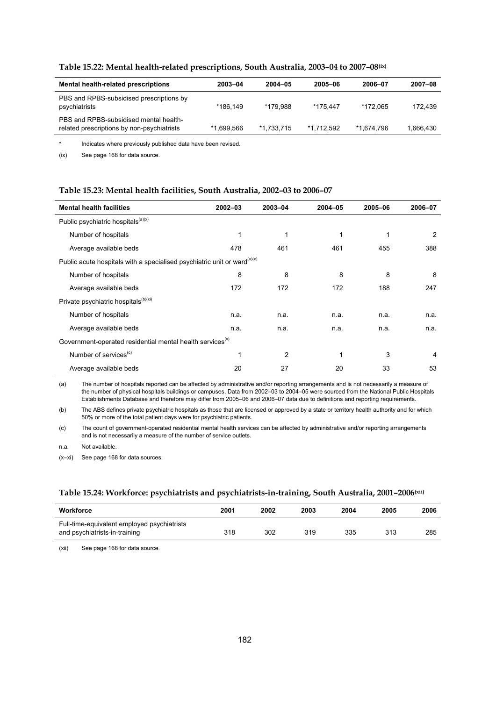| Mental health-related prescriptions                                                  | 2003-04    | 2004-05    | 2005-06    | 2006-07    | 2007-08   |
|--------------------------------------------------------------------------------------|------------|------------|------------|------------|-----------|
| PBS and RPBS-subsidised prescriptions by<br>psychiatrists                            | *186.149   | *179.988   | *175.447   | *172.065   | 172.439   |
| PBS and RPBS-subsidised mental health-<br>related prescriptions by non-psychiatrists | *1.699.566 | *1.733.715 | *1.712.592 | *1.674.796 | 1,666,430 |
|                                                                                      |            |            |            |            |           |

### **Table 15.22: Mental health-related prescriptions, South Australia, 2003–04 to 2007–08(ix)**

\* Indicates where previously published data have been revised.

(ix) See page 168 for data source.

### **Table 15.23: Mental health facilities, South Australia, 2002–03 to 2006–07**

| <b>Mental health facilities</b>                                                      | $2002 - 03$  | 2003-04        | 2004-05 | 2005-06 | 2006-07 |
|--------------------------------------------------------------------------------------|--------------|----------------|---------|---------|---------|
| Public psychiatric hospitals <sup>(a)(x)</sup>                                       |              |                |         |         |         |
| Number of hospitals                                                                  | $\mathbf{1}$ | 1              | 1       | 1       | 2       |
| Average available beds                                                               | 478          | 461            | 461     | 455     | 388     |
| Public acute hospitals with a specialised psychiatric unit or ward <sup>(a)(x)</sup> |              |                |         |         |         |
| Number of hospitals                                                                  | 8            | 8              | 8       | 8       | 8       |
| Average available beds                                                               | 172          | 172            | 172     | 188     | 247     |
| Private psychiatric hospitals <sup>(b)(xi)</sup>                                     |              |                |         |         |         |
| Number of hospitals                                                                  | n.a.         | n.a.           | n.a.    | n.a.    | n.a.    |
| Average available beds                                                               | n.a.         | n.a.           | n.a.    | n.a.    | n.a.    |
| Government-operated residential mental health services <sup>(x)</sup>                |              |                |         |         |         |
| Number of services <sup>(c)</sup>                                                    | 1            | $\overline{c}$ |         | 3       | 4       |
| Average available beds                                                               | 20           | 27             | 20      | 33      | 53      |

(a) The number of hospitals reported can be affected by administrative and/or reporting arrangements and is not necessarily a measure of the number of physical hospitals buildings or campuses. Data from 2002–03 to 2004–05 were sourced from the National Public Hospitals Establishments Database and therefore may differ from 2005–06 and 2006–07 data due to definitions and reporting requirements.

(b) The ABS defines private psychiatric hospitals as those that are licensed or approved by a state or territory health authority and for which 50% or more of the total patient days were for psychiatric patients.

(c) The count of government-operated residential mental health services can be affected by administrative and/or reporting arrangements and is not necessarily a measure of the number of service outlets.

n.a. Not available.

(x–xi) See page 168 for data sources.

### **Table 15.24: Workforce: psychiatrists and psychiatrists-in-training, South Australia, 2001–2006(xii)**

| Workforce                                                                    | 2001 | 2002 | 2003 | 2004 | 2005 | 2006 |
|------------------------------------------------------------------------------|------|------|------|------|------|------|
| Full-time-equivalent employed psychiatrists<br>and psychiatrists-in-training | 318  | 302  | 319  | 335  | 313  | 285  |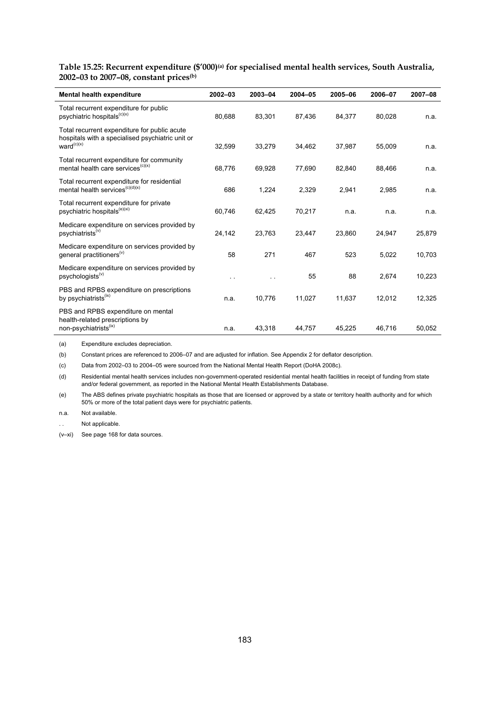Table 15.25: Recurrent expenditure (\$'000)<sup>(a)</sup> for specialised mental health services, South Australia, **2002–03 to 2007–08, constant prices(b)**

| Mental health expenditure                                                                                                  | $2002 - 03$ | 2003-04 | 2004-05 | 2005-06 | 2006-07 | 2007-08 |
|----------------------------------------------------------------------------------------------------------------------------|-------------|---------|---------|---------|---------|---------|
| Total recurrent expenditure for public<br>psychiatric hospitals <sup>(c)(x)</sup>                                          | 80,688      | 83,301  | 87,436  | 84,377  | 80,028  | n.a.    |
| Total recurrent expenditure for public acute<br>hospitals with a specialised psychiatric unit or<br>ward <sup>(c)(x)</sup> | 32,599      | 33,279  | 34,462  | 37,987  | 55,009  | n.a.    |
| Total recurrent expenditure for community<br>mental health care services <sup>(c)(x)</sup>                                 | 68,776      | 69,928  | 77,690  | 82,840  | 88,466  | n.a.    |
| Total recurrent expenditure for residential<br>mental health services <sup>(c)(d)(x)</sup>                                 | 686         | 1,224   | 2,329   | 2,941   | 2,985   | n.a.    |
| Total recurrent expenditure for private<br>psychiatric hospitals <sup>(e)(xi)</sup>                                        | 60.746      | 62,425  | 70,217  | n.a.    | n.a.    | n.a.    |
| Medicare expenditure on services provided by<br>psychiatrists <sup>(v)</sup>                                               | 24,142      | 23,763  | 23,447  | 23,860  | 24,947  | 25,879  |
| Medicare expenditure on services provided by<br>general practitioners <sup>(v)</sup>                                       | 58          | 271     | 467     | 523     | 5,022   | 10,703  |
| Medicare expenditure on services provided by<br>psychologists <sup>(v)</sup>                                               |             |         | 55      | 88      | 2,674   | 10,223  |
| PBS and RPBS expenditure on prescriptions<br>by psychiatrists <sup>(ix)</sup>                                              | n.a.        | 10,776  | 11,027  | 11,637  | 12.012  | 12,325  |
| PBS and RPBS expenditure on mental<br>health-related prescriptions by<br>non-psychiatrists <sup>(ix)</sup>                 | n.a.        | 43,318  | 44,757  | 45,225  | 46,716  | 50,052  |

(a) Expenditure excludes depreciation.

(b) Constant prices are referenced to 2006–07 and are adjusted for inflation. See Appendix 2 for deflator description.

(c) Data from 2002–03 to 2004–05 were sourced from the National Mental Health Report (DoHA 2008c).

(d) Residential mental health services includes non-government-operated residential mental health facilities in receipt of funding from state and/or federal government, as reported in the National Mental Health Establishments Database.

(e) The ABS defines private psychiatric hospitals as those that are licensed or approved by a state or territory health authority and for which 50% or more of the total patient days were for psychiatric patients.

n.a. Not available.

Not applicable.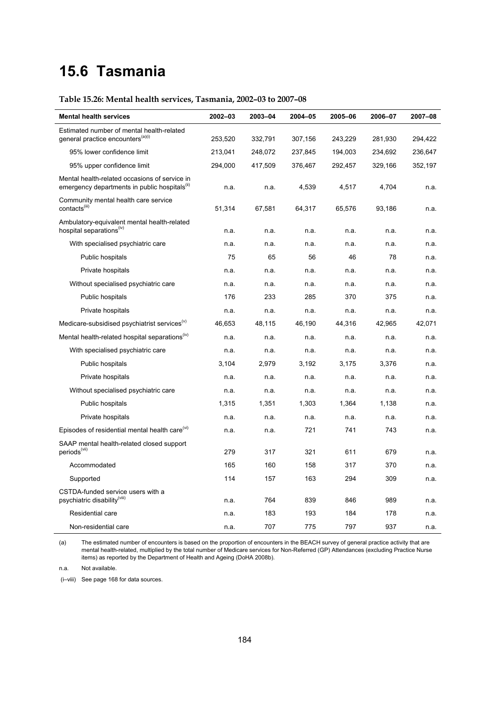# **15.6 Tasmania**

# **Table 15.26: Mental health services, Tasmania, 2002–03 to 2007–08**

| <b>Mental health services</b>                                                                              | 2002-03 | 2003-04 | 2004-05 | 2005-06 | 2006-07 | 2007-08 |
|------------------------------------------------------------------------------------------------------------|---------|---------|---------|---------|---------|---------|
| Estimated number of mental health-related                                                                  |         |         |         |         |         |         |
| general practice encounters <sup>(a)(i)</sup>                                                              | 253,520 | 332,791 | 307,156 | 243,229 | 281,930 | 294,422 |
| 95% lower confidence limit                                                                                 | 213,041 | 248,072 | 237,845 | 194,003 | 234,692 | 236,647 |
| 95% upper confidence limit                                                                                 | 294,000 | 417,509 | 376,467 | 292,457 | 329,166 | 352,197 |
| Mental health-related occasions of service in<br>emergency departments in public hospitals <sup>(ii)</sup> | n.a.    | n.a.    | 4,539   | 4,517   | 4,704   | n.a.    |
| Community mental health care service<br>contacts <sup>(iii)</sup>                                          | 51,314  | 67,581  | 64,317  | 65,576  | 93,186  | n.a.    |
| Ambulatory-equivalent mental health-related<br>hospital separations <sup>(iv)</sup>                        | n.a.    | n.a.    | n.a.    | n.a.    | n.a.    | n.a.    |
| With specialised psychiatric care                                                                          | n.a.    | n.a.    | n.a.    | n.a.    | n.a.    | n.a.    |
| Public hospitals                                                                                           | 75      | 65      | 56      | 46      | 78      | n.a.    |
| Private hospitals                                                                                          | n.a.    | n.a.    | n.a.    | n.a.    | n.a.    | n.a.    |
| Without specialised psychiatric care                                                                       | n.a.    | n.a.    | n.a.    | n.a.    | n.a.    | n.a.    |
| Public hospitals                                                                                           | 176     | 233     | 285     | 370     | 375     | n.a.    |
| Private hospitals                                                                                          | n.a.    | n.a.    | n.a.    | n.a.    | n.a.    | n.a.    |
| Medicare-subsidised psychiatrist services <sup>(V)</sup>                                                   | 46,653  | 48,115  | 46,190  | 44,316  | 42,965  | 42,071  |
| Mental health-related hospital separations <sup>(iv)</sup>                                                 | n.a.    | n.a.    | n.a.    | n.a.    | n.a.    | n.a.    |
| With specialised psychiatric care                                                                          | n.a.    | n.a.    | n.a.    | n.a.    | n.a.    | n.a.    |
| Public hospitals                                                                                           | 3.104   | 2,979   | 3,192   | 3,175   | 3,376   | n.a.    |
| Private hospitals                                                                                          | n.a.    | n.a.    | n.a.    | n.a.    | n.a.    | n.a.    |
| Without specialised psychiatric care                                                                       | n.a.    | n.a.    | n.a.    | n.a.    | n.a.    | n.a.    |
| Public hospitals                                                                                           | 1,315   | 1,351   | 1,303   | 1,364   | 1,138   | n.a.    |
| Private hospitals                                                                                          | n.a.    | n.a.    | n.a.    | n.a.    | n.a.    | n.a.    |
| Episodes of residential mental health care <sup>(vi)</sup>                                                 | n.a.    | n.a.    | 721     | 741     | 743     | n.a.    |
| SAAP mental health-related closed support<br>periods <sup>(vii)</sup>                                      | 279     | 317     | 321     | 611     | 679     | n.a.    |
| Accommodated                                                                                               | 165     | 160     | 158     | 317     | 370     | n.a.    |
| Supported                                                                                                  | 114     | 157     | 163     | 294     | 309     | n.a.    |
| CSTDA-funded service users with a<br>psychiatric disability <sup>(VIII)</sup>                              | n.a.    | 764     | 839     | 846     | 989     | n.a.    |
| Residential care                                                                                           | n.a.    | 183     | 193     | 184     | 178     | n.a.    |
| Non-residential care                                                                                       | n.a.    | 707     | 775     | 797     | 937     | n.a.    |

(a) The estimated number of encounters is based on the proportion of encounters in the BEACH survey of general practice activity that are mental health-related, multiplied by the total number of Medicare services for Non-Referred (GP) Attendances (excluding Practice Nurse items) as reported by the Department of Health and Ageing (DoHA 2008b).

n.a. Not available.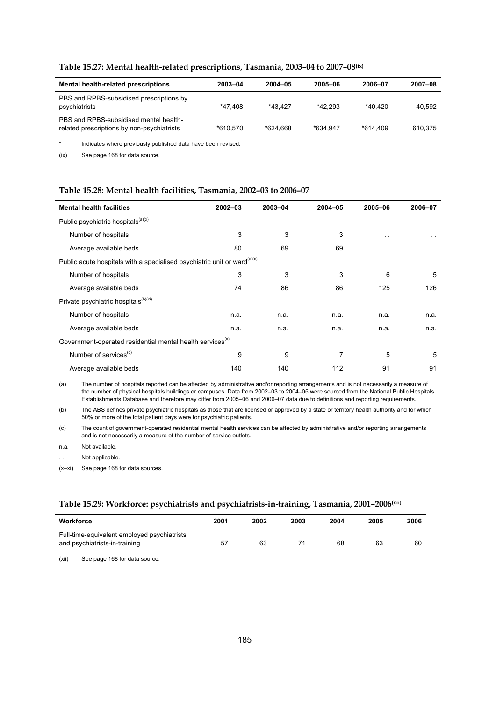| <b>Mental health-related prescriptions</b>                                           | 2003-04  | 2004-05  | 2005-06  | 2006-07    | 2007-08 |
|--------------------------------------------------------------------------------------|----------|----------|----------|------------|---------|
| PBS and RPBS-subsidised prescriptions by<br>psychiatrists                            | *47.408  | *43.427  | *42.293  | $*40.420$  | 40.592  |
| PBS and RPBS-subsidised mental health-<br>related prescriptions by non-psychiatrists | *610.570 | *624.668 | *634.947 | $*614.409$ | 610,375 |

### **Table 15.27: Mental health-related prescriptions, Tasmania, 2003–04 to 2007–08(ix)**

\* Indicates where previously published data have been revised.

(ix) See page 168 for data source.

#### **Table 15.28: Mental health facilities, Tasmania, 2002–03 to 2006–07**

| <b>Mental health facilities</b>                                                      | $2002 - 03$ | 2003-04 | 2004-05 | 2005-06       | 2006-07       |  |  |  |
|--------------------------------------------------------------------------------------|-------------|---------|---------|---------------|---------------|--|--|--|
| Public psychiatric hospitals <sup>(a)(x)</sup>                                       |             |         |         |               |               |  |  |  |
| Number of hospitals                                                                  | 3           | 3       | 3       | $\sim$        | $\sim$ $\sim$ |  |  |  |
| Average available beds                                                               | 80          | 69      | 69      | $\sim$ $\sim$ | $\sim$ $\sim$ |  |  |  |
| Public acute hospitals with a specialised psychiatric unit or ward <sup>(a)(x)</sup> |             |         |         |               |               |  |  |  |
| Number of hospitals                                                                  | 3           | 3       | 3       | 6             | 5             |  |  |  |
| Average available beds                                                               | 74          | 86      | 86      | 125           | 126           |  |  |  |
| Private psychiatric hospitals <sup>(b)(xi)</sup>                                     |             |         |         |               |               |  |  |  |
| Number of hospitals                                                                  | n.a.        | n.a.    | n.a.    | n.a.          | n.a.          |  |  |  |
| Average available beds                                                               | n.a.        | n.a.    | n.a.    | n.a.          | n.a.          |  |  |  |
| Government-operated residential mental health services <sup>(x)</sup>                |             |         |         |               |               |  |  |  |
| Number of services <sup>(c)</sup>                                                    | 9           | 9       | 7       | 5             | 5             |  |  |  |
| Average available beds                                                               | 140         | 140     | 112     | 91            | 91            |  |  |  |

(a) The number of hospitals reported can be affected by administrative and/or reporting arrangements and is not necessarily a measure of the number of physical hospitals buildings or campuses. Data from 2002–03 to 2004–05 were sourced from the National Public Hospitals Establishments Database and therefore may differ from 2005–06 and 2006–07 data due to definitions and reporting requirements.

(b) The ABS defines private psychiatric hospitals as those that are licensed or approved by a state or territory health authority and for which 50% or more of the total patient days were for psychiatric patients.

(c) The count of government-operated residential mental health services can be affected by administrative and/or reporting arrangements and is not necessarily a measure of the number of service outlets.

n.a. Not available.

Not applicable.

(x–xi) See page 168 for data sources.

### **Table 15.29: Workforce: psychiatrists and psychiatrists-in-training, Tasmania, 2001–2006(xii)**

| Workforce                                                                    | 2001 | 2002 | 2003 | 2004 | 2005 | 2006 |
|------------------------------------------------------------------------------|------|------|------|------|------|------|
| Full-time-equivalent employed psychiatrists<br>and psychiatrists-in-training | 57   | 63   |      | 68   | 63   | 60   |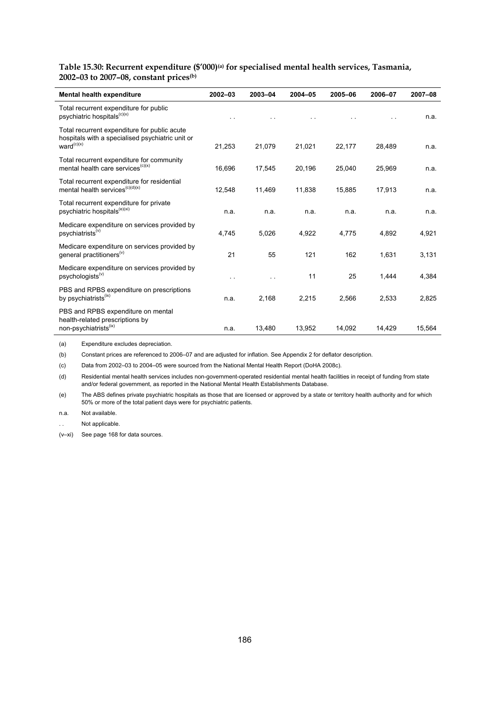**Table 15.30: Recurrent expenditure (\$'000)(a) for specialised mental health services, Tasmania, 2002–03 to 2007–08, constant prices(b)**

| Mental health expenditure                                                                                                  | $2002 - 03$          | 2003-04              | $2004 - 05$ | 2005-06 | 2006-07 | 2007-08 |
|----------------------------------------------------------------------------------------------------------------------------|----------------------|----------------------|-------------|---------|---------|---------|
| Total recurrent expenditure for public<br>psychiatric hospitals <sup>(c)(x)</sup>                                          |                      |                      |             |         |         | n.a.    |
| Total recurrent expenditure for public acute<br>hospitals with a specialised psychiatric unit or<br>ward <sup>(c)(x)</sup> | 21,253               | 21,079               | 21,021      | 22,177  | 28,489  | n.a.    |
| Total recurrent expenditure for community<br>mental health care services <sup>(c)(x)</sup>                                 | 16.696               | 17,545               | 20,196      | 25,040  | 25,969  | n.a.    |
| Total recurrent expenditure for residential<br>mental health services <sup>(c)(d)(x)</sup>                                 | 12,548               | 11,469               | 11,838      | 15,885  | 17,913  | n.a.    |
| Total recurrent expenditure for private<br>psychiatric hospitals <sup>(e)(xi)</sup>                                        | n.a.                 | n.a.                 | n.a.        | n.a.    | n.a.    | n.a.    |
| Medicare expenditure on services provided by<br>psychiatrists <sup>(v)</sup>                                               | 4.745                | 5,026                | 4.922       | 4.775   | 4,892   | 4,921   |
| Medicare expenditure on services provided by<br>general practitioners <sup>(v)</sup>                                       | 21                   | 55                   | 121         | 162     | 1,631   | 3,131   |
| Medicare expenditure on services provided by<br>psychologists <sup>(v)</sup>                                               | $\ddot{\phantom{0}}$ | $\ddot{\phantom{1}}$ | 11          | 25      | 1,444   | 4,384   |
| PBS and RPBS expenditure on prescriptions<br>by psychiatrists <sup>(ix)</sup>                                              | n.a.                 | 2,168                | 2,215       | 2,566   | 2,533   | 2,825   |
| PBS and RPBS expenditure on mental<br>health-related prescriptions by<br>non-psychiatrists <sup>(ix)</sup>                 | n.a.                 | 13,480               | 13,952      | 14,092  | 14,429  | 15,564  |

(a) Expenditure excludes depreciation.

(b) Constant prices are referenced to 2006–07 and are adjusted for inflation. See Appendix 2 for deflator description.

(c) Data from 2002–03 to 2004–05 were sourced from the National Mental Health Report (DoHA 2008c).

(d) Residential mental health services includes non-government-operated residential mental health facilities in receipt of funding from state and/or federal government, as reported in the National Mental Health Establishments Database.

(e) The ABS defines private psychiatric hospitals as those that are licensed or approved by a state or territory health authority and for which 50% or more of the total patient days were for psychiatric patients.

n.a. Not available.

Not applicable.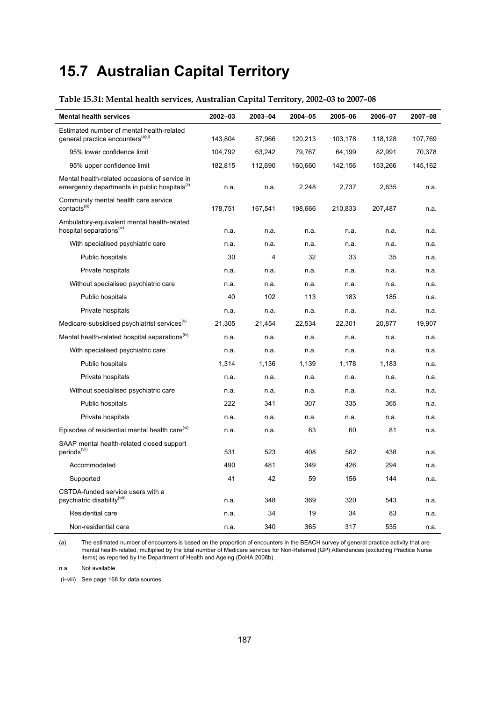# **15.7 Australian Capital Territory**

# **Table 15.31: Mental health services, Australian Capital Territory, 2002–03 to 2007–08**

| <b>Mental health services</b>                                                                              | 2002-03 | 2003-04 | 2004-05 | 2005-06 | 2006-07 | 2007-08 |
|------------------------------------------------------------------------------------------------------------|---------|---------|---------|---------|---------|---------|
| Estimated number of mental health-related                                                                  |         |         |         |         |         |         |
| general practice encounters <sup>(a)(i)</sup>                                                              | 143,804 | 87,966  | 120,213 | 103,178 | 118,128 | 107,769 |
| 95% lower confidence limit                                                                                 | 104,792 | 63,242  | 79,767  | 64,199  | 82,991  | 70,378  |
| 95% upper confidence limit                                                                                 | 182,815 | 112,690 | 160,660 | 142,156 | 153,266 | 145,162 |
| Mental health-related occasions of service in<br>emergency departments in public hospitals <sup>(ii)</sup> | n.a.    | n.a.    | 2,248   | 2,737   | 2,635   | n.a.    |
| Community mental health care service<br>contacts <sup>(iii)</sup>                                          | 178,751 | 167,541 | 198,666 | 210,833 | 207,487 | n.a.    |
| Ambulatory-equivalent mental health-related<br>hospital separations <sup>(iv)</sup>                        | n.a.    | n.a.    | n.a.    | n.a.    | n.a.    | n.a.    |
| With specialised psychiatric care                                                                          | n.a.    | n.a.    | n.a.    | n.a.    | n.a.    | n.a.    |
| Public hospitals                                                                                           | 30      | 4       | 32      | 33      | 35      | n.a.    |
| Private hospitals                                                                                          | n.a.    | n.a.    | n.a.    | n.a.    | n.a.    | n.a.    |
| Without specialised psychiatric care                                                                       | n.a.    | n.a.    | n.a.    | n.a.    | n.a.    | n.a.    |
| Public hospitals                                                                                           | 40      | 102     | 113     | 183     | 185     | n.a.    |
| Private hospitals                                                                                          | n.a.    | n.a.    | n.a.    | n.a.    | n.a.    | n.a.    |
| Medicare-subsidised psychiatrist services <sup>(V)</sup>                                                   | 21,305  | 21,454  | 22,534  | 22,301  | 20,877  | 19,907  |
| Mental health-related hospital separations <sup>(iv)</sup>                                                 | n.a.    | n.a.    | n.a.    | n.a.    | n.a.    | n.a.    |
| With specialised psychiatric care                                                                          | n.a.    | n.a.    | n.a.    | n.a.    | n.a.    | n.a.    |
| Public hospitals                                                                                           | 1,314   | 1,136   | 1,139   | 1,178   | 1,183   | n.a.    |
| Private hospitals                                                                                          | n.a.    | n.a.    | n.a.    | n.a.    | n.a.    | n.a.    |
| Without specialised psychiatric care                                                                       | n.a.    | n.a.    | n.a.    | n.a.    | n.a.    | n.a.    |
| Public hospitals                                                                                           | 222     | 341     | 307     | 335     | 365     | n.a.    |
| Private hospitals                                                                                          | n.a.    | n.a.    | n.a.    | n.a.    | n.a.    | n.a.    |
| Episodes of residential mental health care <sup>(vi)</sup>                                                 | n.a.    | n.a.    | 63      | 60      | 81      | n.a.    |
| SAAP mental health-related closed support<br>periods <sup>(vii)</sup>                                      | 531     | 523     | 408     | 582     | 438     | n.a.    |
| Accommodated                                                                                               | 490     | 481     | 349     | 426     | 294     | n.a.    |
| Supported                                                                                                  | 41      | 42      | 59      | 156     | 144     | n.a.    |
| CSTDA-funded service users with a<br>psychiatric disability <sup>(viii)</sup>                              | n.a.    | 348     | 369     | 320     | 543     | n.a.    |
| Residential care                                                                                           | n.a.    | 34      | 19      | 34      | 83      | n.a.    |
| Non-residential care                                                                                       | n.a.    | 340     | 365     | 317     | 535     | n.a.    |

(a) The estimated number of encounters is based on the proportion of encounters in the BEACH survey of general practice activity that are mental health-related, multiplied by the total number of Medicare services for Non-Referred (GP) Attendances (excluding Practice Nurse items) as reported by the Department of Health and Ageing (DoHA 2008b).

n.a. Not available.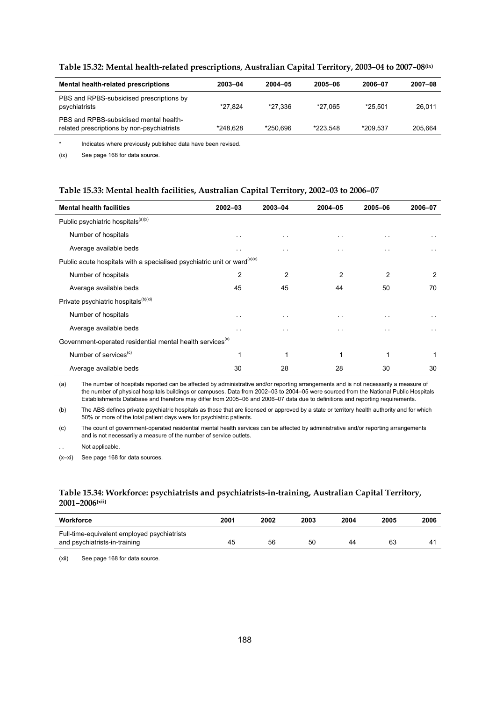| Mental health-related prescriptions                                                  | 2003-04  | 2004-05  | 2005-06  | 2006-07  | 2007-08 |
|--------------------------------------------------------------------------------------|----------|----------|----------|----------|---------|
| PBS and RPBS-subsidised prescriptions by<br>psychiatrists                            | *27.824  | *27.336  | *27.065  | *25.501  | 26.011  |
| PBS and RPBS-subsidised mental health-<br>related prescriptions by non-psychiatrists | *248.628 | *250.696 | *223.548 | *209.537 | 205.664 |
|                                                                                      |          |          |          |          |         |

### **Table 15.32: Mental health-related prescriptions, Australian Capital Territory, 2003–04 to 2007–08(ix)**

\* Indicates where previously published data have been revised.

(ix) See page 168 for data source.

#### **Table 15.33: Mental health facilities, Australian Capital Territory, 2002–03 to 2006–07**

| <b>Mental health facilities</b>                                                      | $2002 - 03$          | 2003-04       | $2004 - 05$          | 2005-06              | 2006-07              |
|--------------------------------------------------------------------------------------|----------------------|---------------|----------------------|----------------------|----------------------|
| Public psychiatric hospitals <sup>(a)(x)</sup>                                       |                      |               |                      |                      |                      |
| Number of hospitals                                                                  | $\ddot{\phantom{1}}$ | $\sim$ $\sim$ | $\ddot{\phantom{1}}$ | $\sim$ $\sim$        | $\ddot{\phantom{1}}$ |
| Average available beds                                                               | $\cdot$ .            | $\cdot$ .     | . .                  | $\ddot{\phantom{1}}$ | . .                  |
| Public acute hospitals with a specialised psychiatric unit or ward <sup>(a)(x)</sup> |                      |               |                      |                      |                      |
| Number of hospitals                                                                  | $\overline{2}$       | 2             | $\mathfrak{p}$       | $\overline{2}$       | 2                    |
| Average available beds                                                               | 45                   | 45            | 44                   | 50                   | 70                   |
| Private psychiatric hospitals <sup>(b)(xi)</sup>                                     |                      |               |                      |                      |                      |
| Number of hospitals                                                                  | $\ddot{\phantom{1}}$ | $\sim$ $\sim$ | $\sim$ $\sim$        | $\sim$ $\sim$        | $\sim$ $\sim$        |
| Average available beds                                                               | . .                  | . .           | $\ddot{\phantom{1}}$ | . .                  | . .                  |
| Government-operated residential mental health services <sup>(x)</sup>                |                      |               |                      |                      |                      |
| Number of services <sup>(c)</sup>                                                    | 1                    |               | 1                    | 1                    |                      |
| Average available beds                                                               | 30                   | 28            | 28                   | 30                   | 30                   |

(a) The number of hospitals reported can be affected by administrative and/or reporting arrangements and is not necessarily a measure of the number of physical hospitals buildings or campuses. Data from 2002–03 to 2004–05 were sourced from the National Public Hospitals Establishments Database and therefore may differ from 2005–06 and 2006–07 data due to definitions and reporting requirements.

(b) The ABS defines private psychiatric hospitals as those that are licensed or approved by a state or territory health authority and for which 50% or more of the total patient days were for psychiatric patients.

(c) The count of government-operated residential mental health services can be affected by administrative and/or reporting arrangements and is not necessarily a measure of the number of service outlets.

Not applicable.

(x–xi) See page 168 for data sources.

# **Table 15.34: Workforce: psychiatrists and psychiatrists-in-training, Australian Capital Territory, 2001–2006(xii)**

| Workforce                                                                    | 2001 | 2002 | 2003 | 2004 | 2005 | 2006           |
|------------------------------------------------------------------------------|------|------|------|------|------|----------------|
| Full-time-equivalent employed psychiatrists<br>and psychiatrists-in-training | 45   | 56   | 50   | 44   | 63   | 4 <sup>1</sup> |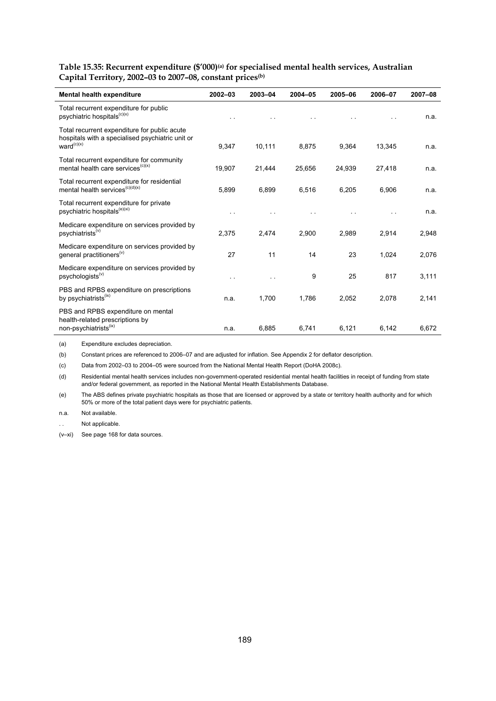**Table 15.35: Recurrent expenditure (\$'000)(a) for specialised mental health services, Australian Capital Territory, 2002–03 to 2007–08, constant prices(b)**

| Mental health expenditure                                                                                           | $2002 - 03$ | 2003-04 | 2004-05 | 2005-06 | 2006-07 | 2007-08 |
|---------------------------------------------------------------------------------------------------------------------|-------------|---------|---------|---------|---------|---------|
| Total recurrent expenditure for public<br>psychiatric hospitals <sup>(c)(x)</sup>                                   |             |         |         |         |         | n.a.    |
| Total recurrent expenditure for public acute<br>hospitals with a specialised psychiatric unit or<br>$ward^{(c)(x)}$ | 9,347       | 10,111  | 8,875   | 9,364   | 13,345  | n.a.    |
| Total recurrent expenditure for community<br>mental health care services <sup>(c)(x)</sup>                          | 19,907      | 21,444  | 25,656  | 24,939  | 27,418  | n.a.    |
| Total recurrent expenditure for residential<br>mental health services <sup><math>(c)(d)(x)</math></sup>             | 5,899       | 6,899   | 6,516   | 6,205   | 6.906   | n.a.    |
| Total recurrent expenditure for private<br>psychiatric hospitals <sup>(e)(xi)</sup>                                 |             |         |         |         |         | n.a.    |
| Medicare expenditure on services provided by<br>psychiatrists <sup>(v)</sup>                                        | 2,375       | 2,474   | 2,900   | 2,989   | 2,914   | 2,948   |
| Medicare expenditure on services provided by<br>general practitioners <sup>(v)</sup>                                | 27          | 11      | 14      | 23      | 1,024   | 2,076   |
| Medicare expenditure on services provided by<br>psychologists <sup>(v)</sup>                                        | $\sim$      | . .     | 9       | 25      | 817     | 3,111   |
| PBS and RPBS expenditure on prescriptions<br>by psychiatrists <sup>(ix)</sup>                                       | n.a.        | 1,700   | 1,786   | 2,052   | 2,078   | 2,141   |
| PBS and RPBS expenditure on mental<br>health-related prescriptions by<br>non-psychiatrists <sup>(ix)</sup>          | n.a.        | 6,885   | 6,741   | 6,121   | 6,142   | 6,672   |

(a) Expenditure excludes depreciation.

(b) Constant prices are referenced to 2006–07 and are adjusted for inflation. See Appendix 2 for deflator description.

(c) Data from 2002–03 to 2004–05 were sourced from the National Mental Health Report (DoHA 2008c).

(d) Residential mental health services includes non-government-operated residential mental health facilities in receipt of funding from state and/or federal government, as reported in the National Mental Health Establishments Database.

(e) The ABS defines private psychiatric hospitals as those that are licensed or approved by a state or territory health authority and for which 50% or more of the total patient days were for psychiatric patients.

n.a. Not available.

Not applicable.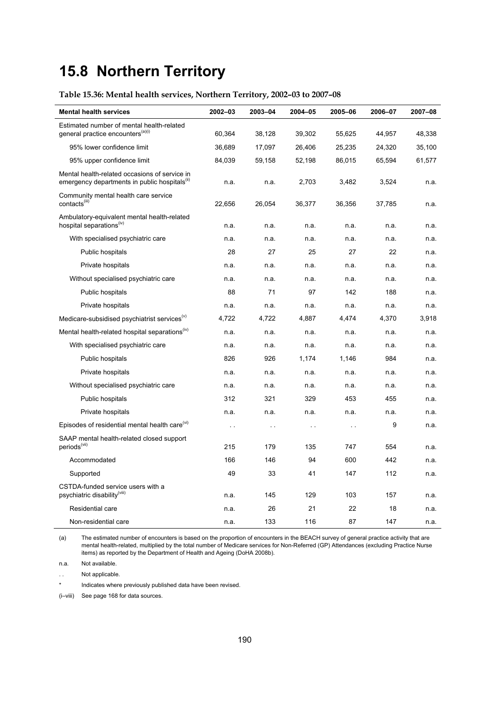# **15.8 Northern Territory**

# **Table 15.36: Mental health services, Northern Territory, 2002–03 to 2007–08**

| <b>Mental health services</b>                                                                              | 2002-03       | 2003-04   | 2004-05       | 2005-06   | 2006-07 | 2007-08 |
|------------------------------------------------------------------------------------------------------------|---------------|-----------|---------------|-----------|---------|---------|
| Estimated number of mental health-related                                                                  |               |           |               |           |         |         |
| general practice encounters <sup>(a)(i)</sup>                                                              | 60,364        | 38,128    | 39,302        | 55,625    | 44,957  | 48,338  |
| 95% lower confidence limit                                                                                 | 36,689        | 17,097    | 26,406        | 25,235    | 24,320  | 35,100  |
| 95% upper confidence limit                                                                                 | 84,039        | 59,158    | 52,198        | 86,015    | 65,594  | 61,577  |
| Mental health-related occasions of service in<br>emergency departments in public hospitals <sup>(ii)</sup> | n.a.          | n.a.      | 2,703         | 3,482     | 3,524   | n.a.    |
| Community mental health care service<br>contacts <sup>(iii)</sup>                                          | 22,656        | 26,054    | 36,377        | 36,356    | 37,785  | n.a.    |
| Ambulatory-equivalent mental health-related<br>hospital separations <sup>(iv)</sup>                        | n.a.          | n.a.      | n.a.          | n.a.      | n.a.    | n.a.    |
| With specialised psychiatric care                                                                          | n.a.          | n.a.      | n.a.          | n.a.      | n.a.    | n.a.    |
| Public hospitals                                                                                           | 28            | 27        | 25            | 27        | 22      | n.a.    |
| Private hospitals                                                                                          | n.a.          | n.a.      | n.a.          | n.a.      | n.a.    | n.a.    |
| Without specialised psychiatric care                                                                       | n.a.          | n.a.      | n.a.          | n.a.      | n.a.    | n.a.    |
| Public hospitals                                                                                           | 88            | 71        | 97            | 142       | 188     | n.a.    |
| Private hospitals                                                                                          | n.a.          | n.a.      | n.a.          | n.a.      | n.a.    | n.a.    |
| Medicare-subsidised psychiatrist services <sup>(v)</sup>                                                   | 4,722         | 4,722     | 4,887         | 4,474     | 4,370   | 3,918   |
| Mental health-related hospital separations <sup>(iv)</sup>                                                 | n.a.          | n.a.      | n.a.          | n.a.      | n.a.    | n.a.    |
| With specialised psychiatric care                                                                          | n.a.          | n.a.      | n.a.          | n.a.      | n.a.    | n.a.    |
| Public hospitals                                                                                           | 826           | 926       | 1,174         | 1,146     | 984     | n.a.    |
| Private hospitals                                                                                          | n.a.          | n.a.      | n.a.          | n.a.      | n.a.    | n.a.    |
| Without specialised psychiatric care                                                                       | n.a.          | n.a.      | n.a.          | n.a.      | n.a.    | n.a.    |
| Public hospitals                                                                                           | 312           | 321       | 329           | 453       | 455     | n.a.    |
| Private hospitals                                                                                          | n.a.          | n.a.      | n.a.          | n.a.      | n.a.    | n.a.    |
| Episodes of residential mental health care <sup>(vi)</sup>                                                 | $\sim$ $\sim$ | $\ddotsc$ | $\sim$ $\sim$ | $\ddotsc$ | 9       | n.a.    |
| SAAP mental health-related closed support<br>periods <sup>(vii)</sup>                                      | 215           | 179       | 135           | 747       | 554     | n.a.    |
| Accommodated                                                                                               | 166           | 146       | 94            | 600       | 442     | n.a.    |
| Supported                                                                                                  | 49            | 33        | 41            | 147       | 112     | n.a.    |
| CSTDA-funded service users with a<br>psychiatric disability(viii)                                          | n.a.          | 145       | 129           | 103       | 157     | n.a.    |
| Residential care                                                                                           | n.a.          | 26        | 21            | 22        | 18      | n.a.    |
| Non-residential care                                                                                       | n.a.          | 133       | 116           | 87        | 147     | n.a.    |

(a) The estimated number of encounters is based on the proportion of encounters in the BEACH survey of general practice activity that are mental health-related, multiplied by the total number of Medicare services for Non-Referred (GP) Attendances (excluding Practice Nurse items) as reported by the Department of Health and Ageing (DoHA 2008b).

n.a. Not available.

. . Not applicable.

\* Indicates where previously published data have been revised.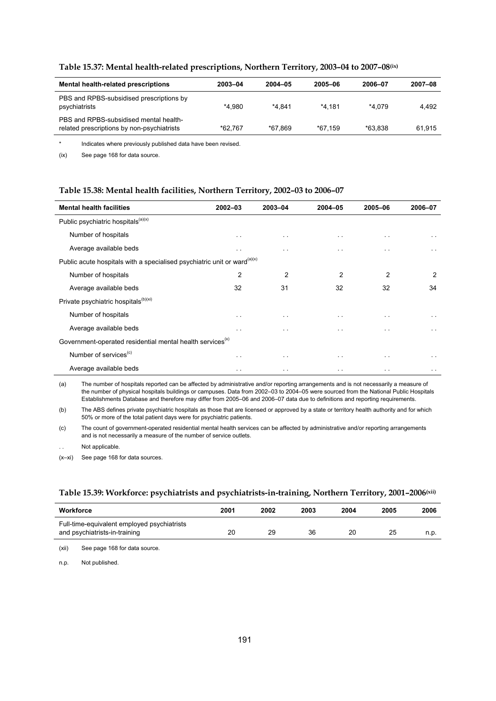| Mental health-related prescriptions                                                  | 2003-04 | 2004-05 | 2005-06 | 2006-07 | 2007-08 |
|--------------------------------------------------------------------------------------|---------|---------|---------|---------|---------|
| PBS and RPBS-subsidised prescriptions by<br>psychiatrists                            | *4.980  | *4.841  | *4.181  | *4.079  | 4.492   |
| PBS and RPBS-subsidised mental health-<br>related prescriptions by non-psychiatrists | *62.767 | *67.869 | *67.159 | *63.838 | 61.915  |

### **Table 15.37: Mental health-related prescriptions, Northern Territory, 2003–04 to 2007–08(ix)**

\* Indicates where previously published data have been revised.

(ix) See page 168 for data source.

### **Table 15.38: Mental health facilities, Northern Territory, 2002–03 to 2006–07**

| <b>Mental health facilities</b>                                                      | $2002 - 03$    | 2003-04              | 2004-05        | 2005-06              | 2006-07       |
|--------------------------------------------------------------------------------------|----------------|----------------------|----------------|----------------------|---------------|
| Public psychiatric hospitals <sup>(a)(x)</sup>                                       |                |                      |                |                      |               |
| Number of hospitals                                                                  | $\sim$ $\sim$  | $\sim$ $\sim$        | $\sim$ $\sim$  | $\sim$               | $\sim$ $\sim$ |
| Average available beds                                                               | $\sim$ $\sim$  | $\ddot{\phantom{1}}$ | $\cdot$ .      | . .                  | $\sim$ $\sim$ |
| Public acute hospitals with a specialised psychiatric unit or ward <sup>(a)(x)</sup> |                |                      |                |                      |               |
| Number of hospitals                                                                  | $\overline{2}$ | 2                    | $\overline{2}$ | $\overline{2}$       | 2             |
| Average available beds                                                               | 32             | 31                   | 32             | 32                   | 34            |
| Private psychiatric hospitals <sup>(b)(xi)</sup>                                     |                |                      |                |                      |               |
| Number of hospitals                                                                  | $\sim$         | $\sim$ $\sim$        | $\sim$ $\sim$  | $\sim$               | $\sim$ $\sim$ |
| Average available beds                                                               | $\sim$ $\sim$  | $\sim$ $\sim$        | $\sim$ $\sim$  | $\ddot{\phantom{1}}$ | $\sim$ $\sim$ |
| Government-operated residential mental health services <sup>(x)</sup>                |                |                      |                |                      |               |
| Number of services <sup>(c)</sup>                                                    | $\sim$ $-$     | $\sim$ $-$           | $\sim$ $\sim$  | $\sim$ $\sim$        | $\sim$ $\sim$ |
| Average available beds                                                               | $\sim$         | $\sim$ $\sim$        | $\sim$         | $\sim$               | $\sim$ $\sim$ |

(a) The number of hospitals reported can be affected by administrative and/or reporting arrangements and is not necessarily a measure of the number of physical hospitals buildings or campuses. Data from 2002–03 to 2004–05 were sourced from the National Public Hospitals Establishments Database and therefore may differ from 2005–06 and 2006–07 data due to definitions and reporting requirements.

(b) The ABS defines private psychiatric hospitals as those that are licensed or approved by a state or territory health authority and for which 50% or more of the total patient days were for psychiatric patients.

(c) The count of government-operated residential mental health services can be affected by administrative and/or reporting arrangements and is not necessarily a measure of the number of service outlets.

Not applicable.

(x–xi) See page 168 for data sources.

### **Table 15.39: Workforce: psychiatrists and psychiatrists-in-training, Northern Territory, 2001–2006(xii)**

| Workforce                                                                    | 2001 | 2002 | 2003 | 2004 | 2005 | 2006 |
|------------------------------------------------------------------------------|------|------|------|------|------|------|
| Full-time-equivalent employed psychiatrists<br>and psychiatrists-in-training | 20   | 29   | 36   | 20   | 25   | n.p. |
|                                                                              |      |      |      |      |      |      |

(xii) See page 168 for data source.

n.p. Not published.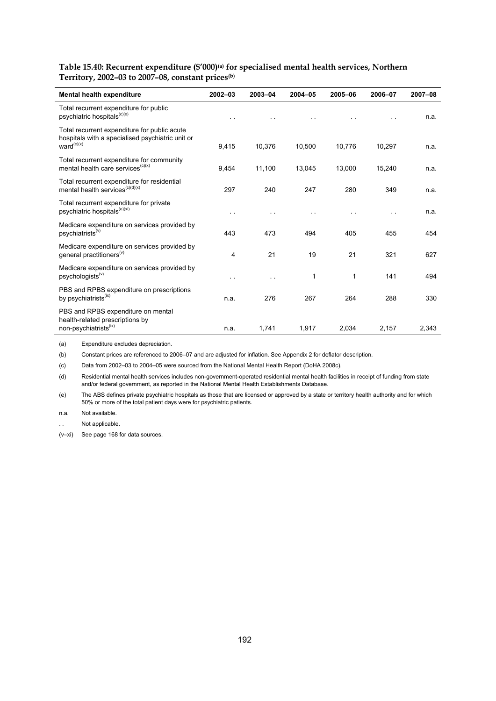Table 15.40: Recurrent expenditure (\$'000)<sup>(a)</sup> for specialised mental health services, Northern **Territory, 2002–03 to 2007–08, constant prices(b)**

| Mental health expenditure                                                                                                  | $2002 - 03$          | 2003-04              | $2004 - 05$ | 2005-06 | 2006-07 | 2007-08 |
|----------------------------------------------------------------------------------------------------------------------------|----------------------|----------------------|-------------|---------|---------|---------|
| Total recurrent expenditure for public<br>psychiatric hospitals <sup>(c)(x)</sup>                                          | $\cdot$ .            |                      |             |         |         | n.a.    |
| Total recurrent expenditure for public acute<br>hospitals with a specialised psychiatric unit or<br>ward <sup>(c)(x)</sup> | 9,415                | 10,376               | 10,500      | 10,776  | 10,297  | n.a.    |
| Total recurrent expenditure for community<br>mental health care services <sup>(c)(x)</sup>                                 | 9,454                | 11,100               | 13,045      | 13,000  | 15,240  | n.a.    |
| Total recurrent expenditure for residential<br>mental health services <sup>(c)(d)(x)</sup>                                 | 297                  | 240                  | 247         | 280     | 349     | n.a.    |
| Total recurrent expenditure for private<br>psychiatric hospitals <sup>(e)(xi)</sup>                                        | $\ddot{\phantom{0}}$ |                      |             |         |         | n.a.    |
| Medicare expenditure on services provided by<br>psychiatrists <sup>(v)</sup>                                               | 443                  | 473                  | 494         | 405     | 455     | 454     |
| Medicare expenditure on services provided by<br>general practitioners <sup>(v)</sup>                                       | 4                    | 21                   | 19          | 21      | 321     | 627     |
| Medicare expenditure on services provided by<br>psychologists <sup>(v)</sup>                                               | . .                  | $\ddot{\phantom{1}}$ | $\mathbf 1$ | 1       | 141     | 494     |
| PBS and RPBS expenditure on prescriptions<br>by psychiatrists <sup>(ix)</sup>                                              | n.a.                 | 276                  | 267         | 264     | 288     | 330     |
| PBS and RPBS expenditure on mental<br>health-related prescriptions by<br>non-psychiatrists <sup>(ix)</sup>                 | n.a.                 | 1,741                | 1,917       | 2,034   | 2,157   | 2,343   |

(a) Expenditure excludes depreciation.

(b) Constant prices are referenced to 2006–07 and are adjusted for inflation. See Appendix 2 for deflator description.

(c) Data from 2002–03 to 2004–05 were sourced from the National Mental Health Report (DoHA 2008c).

(d) Residential mental health services includes non-government-operated residential mental health facilities in receipt of funding from state and/or federal government, as reported in the National Mental Health Establishments Database.

(e) The ABS defines private psychiatric hospitals as those that are licensed or approved by a state or territory health authority and for which 50% or more of the total patient days were for psychiatric patients.

n.a. Not available.

Not applicable.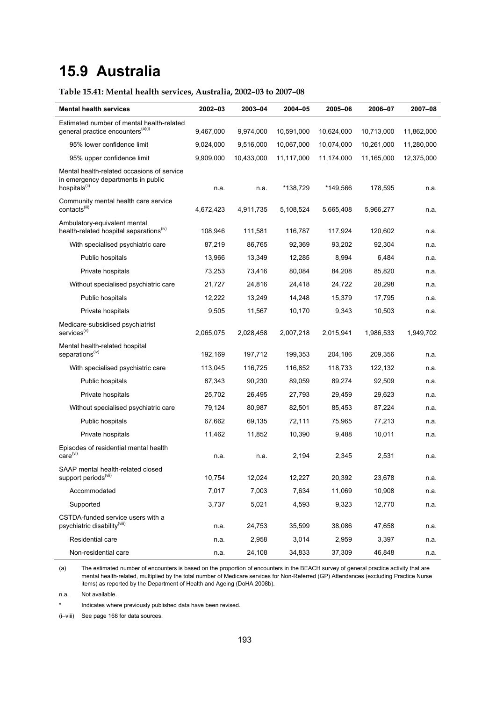# **15.9 Australia**

# **Table 15.41: Mental health services, Australia, 2002–03 to 2007–08**

| <b>Mental health services</b>                                                                                 | 2002-03   | 2003-04    | 2004-05    | 2005-06    | 2006-07    | 2007-08    |
|---------------------------------------------------------------------------------------------------------------|-----------|------------|------------|------------|------------|------------|
| Estimated number of mental health-related                                                                     |           |            |            |            |            |            |
| general practice encounters <sup>(a)(i)</sup>                                                                 | 9,467,000 | 9,974,000  | 10,591,000 | 10,624,000 | 10,713,000 | 11,862,000 |
| 95% lower confidence limit                                                                                    | 9,024,000 | 9,516,000  | 10,067,000 | 10,074,000 | 10,261,000 | 11,280,000 |
| 95% upper confidence limit                                                                                    | 9,909,000 | 10,433,000 | 11,117,000 | 11,174,000 | 11,165,000 | 12,375,000 |
| Mental health-related occasions of service<br>in emergency departments in public<br>hospitals <sup>(ii)</sup> | n.a.      | n.a.       | *138,729   | *149,566   | 178,595    | n.a.       |
| Community mental health care service<br>contacts <sup>(iii)</sup>                                             | 4,672,423 | 4,911,735  | 5,108,524  | 5,665,408  | 5,966,277  | n.a.       |
| Ambulatory-equivalent mental<br>health-related hospital separations <sup>(iv)</sup>                           | 108,946   | 111,581    | 116,787    | 117,924    | 120,602    | n.a.       |
| With specialised psychiatric care                                                                             | 87,219    | 86,765     | 92,369     | 93,202     | 92,304     | n.a.       |
| Public hospitals                                                                                              | 13,966    | 13,349     | 12,285     | 8,994      | 6,484      | n.a.       |
| Private hospitals                                                                                             | 73,253    | 73,416     | 80,084     | 84,208     | 85,820     | n.a.       |
| Without specialised psychiatric care                                                                          | 21,727    | 24,816     | 24,418     | 24,722     | 28,298     | n.a.       |
| Public hospitals                                                                                              | 12,222    | 13,249     | 14,248     | 15,379     | 17,795     | n.a.       |
| Private hospitals                                                                                             | 9,505     | 11,567     | 10,170     | 9,343      | 10,503     | n.a.       |
| Medicare-subsidised psychiatrist<br>services <sup>(v)</sup>                                                   | 2,065,075 | 2,028,458  | 2,007,218  | 2,015,941  | 1,986,533  | 1,949,702  |
| Mental health-related hospital<br>separations <sup>(iv)</sup>                                                 | 192,169   | 197,712    | 199,353    | 204,186    | 209,356    | n.a.       |
| With specialised psychiatric care                                                                             | 113,045   | 116,725    | 116,852    | 118,733    | 122,132    | n.a.       |
| Public hospitals                                                                                              | 87,343    | 90,230     | 89,059     | 89,274     | 92,509     | n.a.       |
| Private hospitals                                                                                             | 25,702    | 26,495     | 27,793     | 29,459     | 29,623     | n.a.       |
| Without specialised psychiatric care                                                                          | 79,124    | 80,987     | 82,501     | 85,453     | 87,224     | n.a.       |
| Public hospitals                                                                                              | 67,662    | 69,135     | 72,111     | 75,965     | 77,213     | n.a.       |
| Private hospitals                                                                                             | 11,462    | 11,852     | 10,390     | 9,488      | 10,011     | n.a.       |
| Episodes of residential mental health<br>care <sup>(vi)</sup>                                                 | n.a.      | n.a.       | 2,194      | 2,345      | 2,531      | n.a.       |
| SAAP mental health-related closed<br>support periods $^{(\forall ii)}$                                        | 10,754    | 12,024     | 12,227     | 20,392     | 23,678     | n.a.       |
| Accommodated                                                                                                  | 7,017     | 7,003      | 7,634      | 11,069     | 10,908     | n.a.       |
| Supported                                                                                                     | 3,737     | 5,021      | 4,593      | 9,323      | 12,770     | n.a.       |
| CSTDA-funded service users with a<br>psychiatric disability <sup>(viii)</sup>                                 | n.a.      | 24,753     | 35,599     | 38,086     | 47,658     | n.a.       |
| Residential care                                                                                              | n.a.      | 2,958      | 3,014      | 2,959      | 3,397      | n.a.       |
| Non-residential care                                                                                          | n.a.      | 24,108     | 34,833     | 37,309     | 46,848     | n.a.       |

(a) The estimated number of encounters is based on the proportion of encounters in the BEACH survey of general practice activity that are mental health-related, multiplied by the total number of Medicare services for Non-Referred (GP) Attendances (excluding Practice Nurse items) as reported by the Department of Health and Ageing (DoHA 2008b).

n.a. Not available.

Indicates where previously published data have been revised.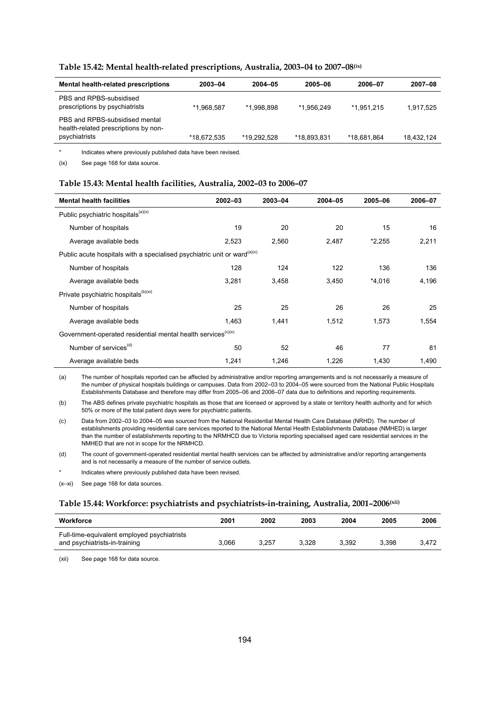| Mental health-related prescriptions                                                     | 2003-04     | $2004 - 05$ | 2005-06     | 2006-07     | 2007-08    |
|-----------------------------------------------------------------------------------------|-------------|-------------|-------------|-------------|------------|
| PBS and RPBS-subsidised<br>prescriptions by psychiatrists                               | *1.968.587  | *1.998.898  | *1.956.249  | *1.951.215  | 1,917,525  |
| PBS and RPBS-subsidised mental<br>health-related prescriptions by non-<br>psychiatrists | *18,672,535 | *19.292.528 | *18.893.831 | *18.681.864 | 18.432.124 |

\* Indicates where previously published data have been revised.

(ix) See page 168 for data source.

#### **Table 15.43: Mental health facilities, Australia, 2002–03 to 2006–07**

| <b>Mental health facilities</b>                                                      | $2002 - 03$ | 2003-04 | 2004-05 | 2005-06  | 2006-07 |  |  |  |
|--------------------------------------------------------------------------------------|-------------|---------|---------|----------|---------|--|--|--|
| Public psychiatric hospitals <sup>(a)(x)</sup>                                       |             |         |         |          |         |  |  |  |
| Number of hospitals                                                                  | 19          | 20      | 20      | 15       | 16      |  |  |  |
| Average available beds                                                               | 2,523       | 2,560   | 2,487   | $*2,255$ | 2,211   |  |  |  |
| Public acute hospitals with a specialised psychiatric unit or ward <sup>(a)(x)</sup> |             |         |         |          |         |  |  |  |
| Number of hospitals                                                                  | 128         | 124     | 122     | 136      | 136     |  |  |  |
| Average available beds                                                               | 3,281       | 3,458   | 3,450   | *4,016   | 4,196   |  |  |  |
| Private psychiatric hospitals <sup>(b)(xi)</sup>                                     |             |         |         |          |         |  |  |  |
| Number of hospitals                                                                  | 25          | 25      | 26      | 26       | 25      |  |  |  |
| Average available beds                                                               | 1,463       | 1,441   | 1,512   | 1,573    | 1,554   |  |  |  |
| Government-operated residential mental health services <sup>(c)(x)</sup>             |             |         |         |          |         |  |  |  |
| Number of services <sup>(d)</sup>                                                    | 50          | 52      | 46      | 77       | 81      |  |  |  |
| Average available beds                                                               | 1,241       | 1,246   | 1,226   | 1,430    | 1,490   |  |  |  |

(a) The number of hospitals reported can be affected by administrative and/or reporting arrangements and is not necessarily a measure of the number of physical hospitals buildings or campuses. Data from 2002–03 to 2004–05 were sourced from the National Public Hospitals Establishments Database and therefore may differ from 2005–06 and 2006–07 data due to definitions and reporting requirements.

(b) The ABS defines private psychiatric hospitals as those that are licensed or approved by a state or territory health authority and for which 50% or more of the total patient days were for psychiatric patients.

(c) Data from 2002–03 to 2004–05 was sourced from the National Residential Mental Health Care Database (NRHD). The number of establishments providing residential care services reported to the National Mental Health Establishments Database (NMHED) is larger than the number of establishments reporting to the NRMHCD due to Victoria reporting specialised aged care residential services in the NMHED that are not in scope for the NRMHCD.

(d) The count of government-operated residential mental health services can be affected by administrative and/or reporting arrangements and is not necessarily a measure of the number of service outlets.

Indicates where previously published data have been revised.

(x–xi) See page 168 for data sources.

### **Table 15.44: Workforce: psychiatrists and psychiatrists-in-training, Australia, 2001–2006(xii)**

| Workforce                                                                    | 2001  | 2002  | 2003  | 2004  | 2005  | 2006  |
|------------------------------------------------------------------------------|-------|-------|-------|-------|-------|-------|
| Full-time-equivalent employed psychiatrists<br>and psychiatrists-in-training | 3.066 | 3.257 | 3.328 | 3.392 | 3.398 | 3.472 |